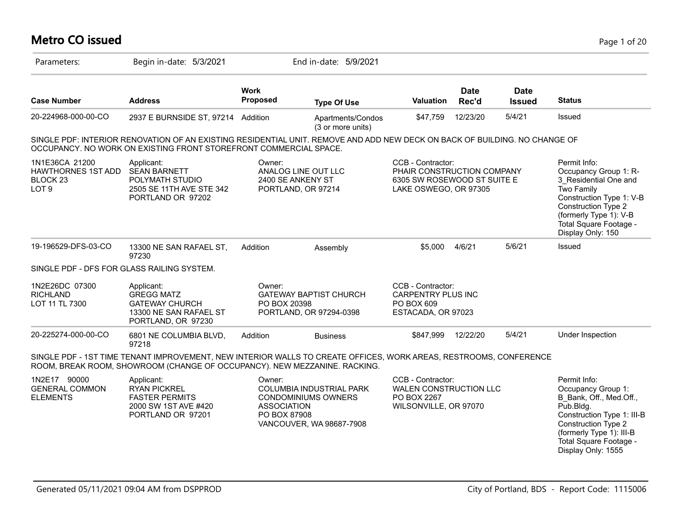# **Metro CO issued** Page 1 of 20

| Parameters:                                                                     | Begin in-date: 5/3/2021                                                                                                                                                                         |                                                                                    | End in-date: 5/9/2021                                                              |                                                                                                         |                      |                              |                                                                                                                                                                                                             |
|---------------------------------------------------------------------------------|-------------------------------------------------------------------------------------------------------------------------------------------------------------------------------------------------|------------------------------------------------------------------------------------|------------------------------------------------------------------------------------|---------------------------------------------------------------------------------------------------------|----------------------|------------------------------|-------------------------------------------------------------------------------------------------------------------------------------------------------------------------------------------------------------|
| <b>Case Number</b>                                                              | <b>Address</b>                                                                                                                                                                                  | <b>Work</b><br><b>Proposed</b>                                                     | <b>Type Of Use</b>                                                                 | Valuation                                                                                               | <b>Date</b><br>Rec'd | <b>Date</b><br><b>Issued</b> | <b>Status</b>                                                                                                                                                                                               |
| 20-224968-000-00-CO                                                             | 2937 E BURNSIDE ST, 97214 Addition                                                                                                                                                              |                                                                                    | Apartments/Condos<br>(3 or more units)                                             | \$47,759                                                                                                | 12/23/20             | 5/4/21                       | Issued                                                                                                                                                                                                      |
|                                                                                 | SINGLE PDF: INTERIOR RENOVATION OF AN EXISTING RESIDENTIAL UNIT. REMOVE AND ADD NEW DECK ON BACK OF BUILDING. NO CHANGE OF<br>OCCUPANCY. NO WORK ON EXISTING FRONT STOREFRONT COMMERCIAL SPACE. |                                                                                    |                                                                                    |                                                                                                         |                      |                              |                                                                                                                                                                                                             |
| 1N1E36CA 21200<br>HAWTHORNES 1ST ADD<br>BLOCK <sub>23</sub><br>LOT <sub>9</sub> | Applicant:<br><b>SEAN BARNETT</b><br>POLYMATH STUDIO<br>2505 SE 11TH AVE STE 342<br>PORTLAND OR 97202                                                                                           | Owner:<br>ANALOG LINE OUT LLC<br>2400 SE ANKENY ST<br>PORTLAND, OR 97214           |                                                                                    | CCB - Contractor:<br>PHAIR CONSTRUCTION COMPANY<br>6305 SW ROSEWOOD ST SUITE E<br>LAKE OSWEGO, OR 97305 |                      |                              | Permit Info:<br>Occupancy Group 1: R-<br>3 Residential One and<br>Two Family<br>Construction Type 1: V-B<br>Construction Type 2<br>(formerly Type 1): V-B<br>Total Square Footage -<br>Display Only: 150    |
| 19-196529-DFS-03-CO                                                             | 13300 NE SAN RAFAEL ST,<br>97230                                                                                                                                                                | Addition                                                                           | Assembly                                                                           | \$5,000                                                                                                 | 4/6/21               | 5/6/21                       | Issued                                                                                                                                                                                                      |
| SINGLE PDF - DFS FOR GLASS RAILING SYSTEM.                                      |                                                                                                                                                                                                 |                                                                                    |                                                                                    |                                                                                                         |                      |                              |                                                                                                                                                                                                             |
| 1N2E26DC 07300<br><b>RICHLAND</b><br>LOT 11 TL 7300                             | Applicant:<br><b>GREGG MATZ</b><br><b>GATEWAY CHURCH</b><br>13300 NE SAN RAFAEL ST<br>PORTLAND, OR 97230                                                                                        | Owner:<br><b>GATEWAY BAPTIST CHURCH</b><br>PO BOX 20398<br>PORTLAND, OR 97294-0398 |                                                                                    | CCB - Contractor:<br><b>CARPENTRY PLUS INC</b><br>PO BOX 609<br>ESTACADA, OR 97023                      |                      |                              |                                                                                                                                                                                                             |
| 20-225274-000-00-CO                                                             | 6801 NE COLUMBIA BLVD,<br>97218                                                                                                                                                                 | Addition                                                                           | <b>Business</b>                                                                    | \$847,999                                                                                               | 12/22/20             | 5/4/21                       | Under Inspection                                                                                                                                                                                            |
|                                                                                 | SINGLE PDF - 1ST TIME TENANT IMPROVEMENT, NEW INTERIOR WALLS TO CREATE OFFICES, WORK AREAS, RESTROOMS, CONFERENCE<br>ROOM, BREAK ROOM, SHOWROOM (CHANGE OF OCCUPANCY). NEW MEZZANINE. RACKING.  |                                                                                    |                                                                                    |                                                                                                         |                      |                              |                                                                                                                                                                                                             |
| 1N2E17 90000<br><b>GENERAL COMMON</b><br><b>ELEMENTS</b>                        | Applicant:<br><b>RYAN PICKREL</b><br><b>FASTER PERMITS</b><br>2000 SW 1ST AVE #420<br>PORTLAND OR 97201                                                                                         | Owner:<br><b>ASSOCIATION</b><br>PO BOX 87908                                       | COLUMBIA INDUSTRIAL PARK<br><b>CONDOMINIUMS OWNERS</b><br>VANCOUVER, WA 98687-7908 | CCB - Contractor:<br>WALEN CONSTRUCTION LLC<br>PO BOX 2267<br>WILSONVILLE, OR 97070                     |                      |                              | Permit Info:<br>Occupancy Group 1:<br>B Bank, Off., Med.Off.,<br>Pub.Bldg.<br>Construction Type 1: III-B<br>Construction Type 2<br>(formerly Type 1): III-B<br>Total Square Footage -<br>Display Only: 1555 |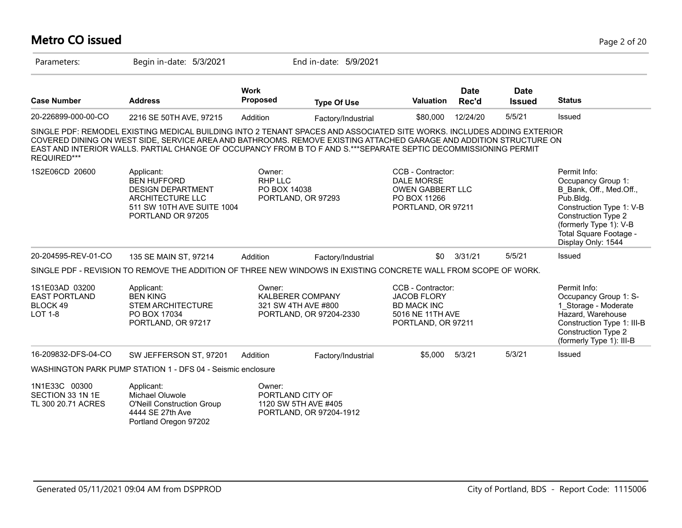#### **Metro CO issued** Page 2 of 20 Parameters: Begin in-date: 5/3/2021 End in-date: 5/9/2021 **Work Case Number Address Proposed Type Of Use Valuation Status Date Rec'd Date Issued** 20-226899-000-00-CO 2216 SE 50TH AVE, 97215 Addition Factory/Industrial \$80,000 12/24/20 5/5/21 Issued SINGLE PDF: REMODEL EXISTING MEDICAL BUILDING INTO 2 TENANT SPACES AND ASSOCIATED SITE WORKS. INCLUDES ADDING EXTERIOR COVERED DINING ON WEST SIDE, SERVICE AREA AND BATHROOMS. REMOVE EXISTING ATTACHED GARAGE AND ADDITION STRUCTURE ON EAST AND INTERIOR WALLS. PARTIAL CHANGE OF OCCUPANCY FROM B TO F AND S.\*\*\*SEPARATE SEPTIC DECOMMISSIONING PERMIT REQUIRED\*\*\* 1S2E06CD 20600 Applicant: A CONDITE: CCB - Contractor: Permit Info: Occupancy Group 1: B\_Bank, Off., Med.Off., Pub.Bldg. Construction Type 1: V-B Construction Type 2 (formerly Type 1): V-B Total Square Footage - Display Only: 1544 CCB - Contractor: DALE MORSE OWEN GABBERT LLC PO BOX 11266 PORTLAND, OR 97211 Owner: RHP LLC PO BOX 14038 PORTLAND, OR 97293 Applicant: BEN HUFFORD DESIGN DEPARTMENT ARCHITECTURE LLC 511 SW 10TH AVE SUITE 1004 PORTLAND OR 97205 20-204595-REV-01-CO 135 SE MAIN ST, 97214 Addition Factory/Industrial \$0 3/31/21 5/5/21 Issued SINGLE PDF - REVISION TO REMOVE THE ADDITION OF THREE NEW WINDOWS IN EXISTING CONCRETE WALL FROM SCOPE OF WORK. 1S1E03AD 03200 EAST PORTLAND BLOCK 49 LOT 1-8 Permit Info: Occupancy Group 1: S-1\_Storage - Moderate Hazard, Warehouse Construction Type 1: III-B Construction Type 2 (formerly Type 1): III-B CCB - Contractor: JACOB FLORY BD MACK INC 5016 NE 11TH AVE PORTLAND, OR 97211 Owner: KALBERER COMPANY 321 SW 4TH AVE #800 PORTLAND, OR 97204-2330 Applicant: BEN KING STEM ARCHITECTURE PO BOX 17034 PORTLAND, OR 97217 16-209832-DFS-04-CO SW JEFFERSON ST, 97201 Addition Factory/Industrial \$5,000 5/3/21 5/3/21 Issued WASHINGTON PARK PUMP STATION 1 - DFS 04 - Seismic enclosure 1N1E33C 00300 SECTION 33 1N 1E TL 300 20.71 ACRES Owner: PORTLAND CITY OF 1120 SW 5TH AVE #405 PORTLAND, OR 97204-1912 Applicant: Michael Oluwole O'Neill Construction Group 4444 SE 27th Ave Portland Oregon 97202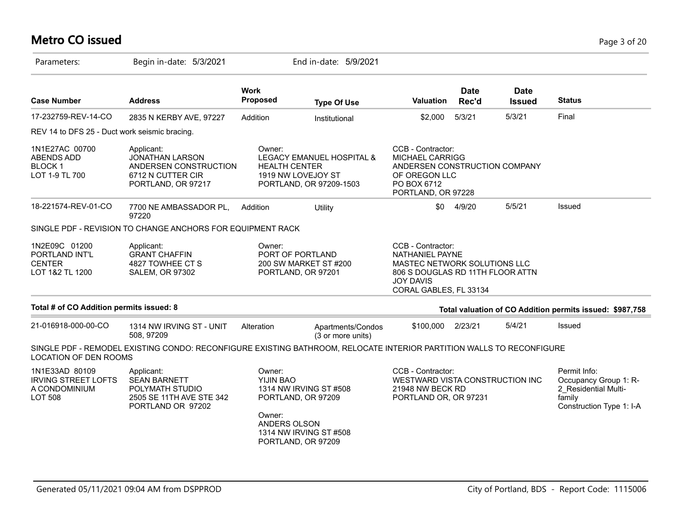# **Metro CO issued** Page 3 of 20

| Parameters:                                                                     | Begin in-date: 5/3/2021                                                                                              |                                                                                                                                               | End in-date: 5/9/2021                                |                                                                                                                                                               |                      |                              |                                                                                                     |
|---------------------------------------------------------------------------------|----------------------------------------------------------------------------------------------------------------------|-----------------------------------------------------------------------------------------------------------------------------------------------|------------------------------------------------------|---------------------------------------------------------------------------------------------------------------------------------------------------------------|----------------------|------------------------------|-----------------------------------------------------------------------------------------------------|
| <b>Case Number</b>                                                              | <b>Address</b>                                                                                                       | <b>Work</b><br><b>Proposed</b>                                                                                                                | <b>Type Of Use</b>                                   | <b>Valuation</b>                                                                                                                                              | <b>Date</b><br>Rec'd | <b>Date</b><br><b>Issued</b> | <b>Status</b>                                                                                       |
| 17-232759-REV-14-CO                                                             | 2835 N KERBY AVE, 97227                                                                                              | Addition                                                                                                                                      | Institutional                                        | \$2,000                                                                                                                                                       | 5/3/21               | 5/3/21                       | Final                                                                                               |
| REV 14 to DFS 25 - Duct work seismic bracing.                                   |                                                                                                                      |                                                                                                                                               |                                                      |                                                                                                                                                               |                      |                              |                                                                                                     |
| 1N1E27AC 00700<br><b>ABENDS ADD</b><br><b>BLOCK1</b><br>LOT 1-9 TL 700          | Applicant:<br><b>JONATHAN LARSON</b><br>ANDERSEN CONSTRUCTION<br>6712 N CUTTER CIR<br>PORTLAND, OR 97217             | Owner:<br><b>HEALTH CENTER</b><br>1919 NW LOVEJOY ST                                                                                          | LEGACY EMANUEL HOSPITAL &<br>PORTLAND, OR 97209-1503 | CCB - Contractor:<br>MICHAEL CARRIGG<br>ANDERSEN CONSTRUCTION COMPANY<br>OF OREGON LLC<br>PO BOX 6712<br>PORTLAND, OR 97228                                   |                      |                              |                                                                                                     |
| 18-221574-REV-01-CO                                                             | 7700 NE AMBASSADOR PL,<br>97220                                                                                      | Addition                                                                                                                                      | Utility                                              | \$0                                                                                                                                                           | 4/9/20               | 5/5/21                       | Issued                                                                                              |
|                                                                                 | SINGLE PDF - REVISION TO CHANGE ANCHORS FOR EQUIPMENT RACK                                                           |                                                                                                                                               |                                                      |                                                                                                                                                               |                      |                              |                                                                                                     |
| 1N2E09C 01200<br>PORTLAND INT'L<br><b>CENTER</b><br>LOT 1&2 TL 1200             | Applicant:<br><b>GRANT CHAFFIN</b><br>4827 TOWHEE CT S<br><b>SALEM, OR 97302</b>                                     | Owner:<br>PORT OF PORTLAND<br>200 SW MARKET ST #200<br>PORTLAND, OR 97201                                                                     |                                                      | CCB - Contractor:<br><b>NATHANIEL PAYNE</b><br>MASTEC NETWORK SOLUTIONS LLC<br>806 S DOUGLAS RD 11TH FLOOR ATTN<br><b>JOY DAVIS</b><br>CORAL GABLES, FL 33134 |                      |                              |                                                                                                     |
| Total # of CO Addition permits issued: 8                                        |                                                                                                                      |                                                                                                                                               |                                                      |                                                                                                                                                               |                      |                              | Total valuation of CO Addition permits issued: \$987,758                                            |
| 21-016918-000-00-CO                                                             | 1314 NW IRVING ST - UNIT<br>508, 97209                                                                               | Alteration                                                                                                                                    | Apartments/Condos<br>(3 or more units)               | \$100,000                                                                                                                                                     | 2/23/21              | 5/4/21                       | Issued                                                                                              |
| LOCATION OF DEN ROOMS                                                           | SINGLE PDF - REMODEL EXISTING CONDO: RECONFIGURE EXISTING BATHROOM, RELOCATE INTERIOR PARTITION WALLS TO RECONFIGURE |                                                                                                                                               |                                                      |                                                                                                                                                               |                      |                              |                                                                                                     |
| 1N1E33AD 80109<br><b>IRVING STREET LOFTS</b><br>A CONDOMINIUM<br><b>LOT 508</b> | Applicant:<br><b>SEAN BARNETT</b><br>POLYMATH STUDIO<br>2505 SE 11TH AVE STE 342<br>PORTLAND OR 97202                | Owner:<br>YIJIN BAO<br>1314 NW IRVING ST #508<br>PORTLAND, OR 97209<br>Owner:<br>ANDERS OLSON<br>1314 NW IRVING ST #508<br>PORTLAND, OR 97209 |                                                      | CCB - Contractor:<br>WESTWARD VISTA CONSTRUCTION INC<br>21948 NW BECK RD<br>PORTLAND OR, OR 97231                                                             |                      |                              | Permit Info:<br>Occupancy Group 1: R-<br>2_Residential Multi-<br>family<br>Construction Type 1: I-A |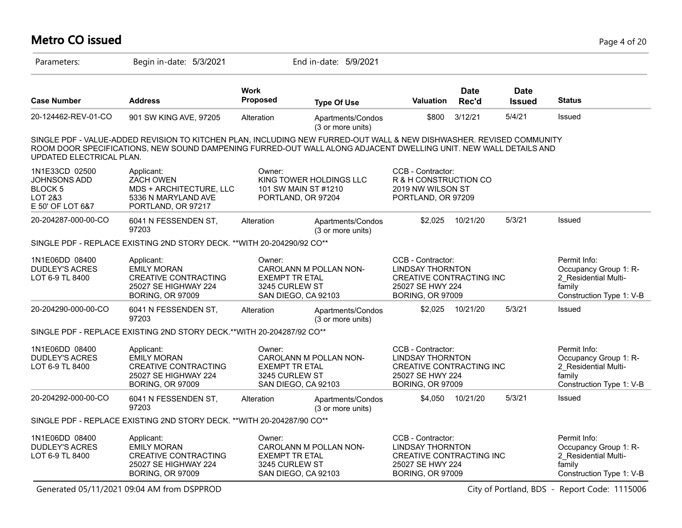#### **Metro CO issued** Page 4 of 20

| Parameters:                                                                                      | Begin in-date: 5/3/2021                                                                                                                                                                                                                  |                                                   | End in-date: 5/9/2021                                                 |                                                                                                                                |                      |                              |                                                                                                     |
|--------------------------------------------------------------------------------------------------|------------------------------------------------------------------------------------------------------------------------------------------------------------------------------------------------------------------------------------------|---------------------------------------------------|-----------------------------------------------------------------------|--------------------------------------------------------------------------------------------------------------------------------|----------------------|------------------------------|-----------------------------------------------------------------------------------------------------|
| <b>Case Number</b>                                                                               | <b>Address</b>                                                                                                                                                                                                                           | <b>Work</b><br>Proposed                           | <b>Type Of Use</b>                                                    | <b>Valuation</b>                                                                                                               | <b>Date</b><br>Rec'd | <b>Date</b><br><b>Issued</b> | <b>Status</b>                                                                                       |
| 20-124462-REV-01-CO                                                                              | 901 SW KING AVE, 97205                                                                                                                                                                                                                   | Alteration                                        | Apartments/Condos<br>(3 or more units)                                | \$800                                                                                                                          | 3/12/21              | 5/4/21                       | Issued                                                                                              |
| UPDATED ELECTRICAL PLAN.                                                                         | SINGLE PDF - VALUE-ADDED REVISION TO KITCHEN PLAN, INCLUDING NEW FURRED-OUT WALL & NEW DISHWASHER. REVISED COMMUNITY<br>ROOM DOOR SPECIFICATIONS, NEW SOUND DAMPENING FURRED-OUT WALL ALONG ADJACENT DWELLING UNIT. NEW WALL DETAILS AND |                                                   |                                                                       |                                                                                                                                |                      |                              |                                                                                                     |
| 1N1E33CD 02500<br><b>JOHNSONS ADD</b><br><b>BLOCK5</b><br><b>LOT 2&amp;3</b><br>E 50' OF LOT 6&7 | Applicant:<br>ZACH OWEN<br>MDS + ARCHITECTURE, LLC<br>5336 N MARYLAND AVE<br>PORTLAND, OR 97217                                                                                                                                          | Owner:                                            | KING TOWER HOLDINGS LLC<br>101 SW MAIN ST #1210<br>PORTLAND, OR 97204 | CCB - Contractor:<br>R & H CONSTRUCTION CO<br>2019 NW WILSON ST<br>PORTLAND, OR 97209                                          |                      |                              |                                                                                                     |
| 20-204287-000-00-CO                                                                              | 6041 N FESSENDEN ST,<br>97203                                                                                                                                                                                                            | Alteration                                        | Apartments/Condos<br>(3 or more units)                                | \$2,025                                                                                                                        | 10/21/20             | 5/3/21                       | Issued                                                                                              |
|                                                                                                  | SINGLE PDF - REPLACE EXISTING 2ND STORY DECK. ** WITH 20-204290/92 CO**                                                                                                                                                                  |                                                   |                                                                       |                                                                                                                                |                      |                              |                                                                                                     |
| 1N1E06DD 08400<br><b>DUDLEY'S ACRES</b><br>LOT 6-9 TL 8400                                       | Applicant:<br><b>EMILY MORAN</b><br><b>CREATIVE CONTRACTING</b><br>25027 SE HIGHWAY 224<br><b>BORING, OR 97009</b>                                                                                                                       | Owner:<br><b>EXEMPT TR ETAL</b><br>3245 CURLEW ST | CAROLANN M POLLAN NON-<br>SAN DIEGO, CA 92103                         | CCB - Contractor:<br><b>LINDSAY THORNTON</b><br><b>CREATIVE CONTRACTING INC</b><br>25027 SE HWY 224<br><b>BORING, OR 97009</b> |                      |                              | Permit Info:<br>Occupancy Group 1: R-<br>2 Residential Multi-<br>family<br>Construction Type 1: V-B |
| 20-204290-000-00-CO                                                                              | 6041 N FESSENDEN ST,<br>97203                                                                                                                                                                                                            | Alteration                                        | Apartments/Condos<br>(3 or more units)                                |                                                                                                                                | \$2,025 10/21/20     | 5/3/21                       | Issued                                                                                              |
|                                                                                                  | SINGLE PDF - REPLACE EXISTING 2ND STORY DECK.**WITH 20-204287/92 CO**                                                                                                                                                                    |                                                   |                                                                       |                                                                                                                                |                      |                              |                                                                                                     |
| 1N1E06DD 08400<br><b>DUDLEY'S ACRES</b><br>LOT 6-9 TL 8400                                       | Applicant:<br><b>EMILY MORAN</b><br><b>CREATIVE CONTRACTING</b><br>25027 SE HIGHWAY 224<br><b>BORING, OR 97009</b>                                                                                                                       | Owner:<br><b>EXEMPT TR ETAL</b><br>3245 CURLEW ST | CAROLANN M POLLAN NON-<br>SAN DIEGO, CA 92103                         | CCB - Contractor:<br><b>LINDSAY THORNTON</b><br>CREATIVE CONTRACTING INC<br>25027 SE HWY 224<br><b>BORING, OR 97009</b>        |                      |                              | Permit Info:<br>Occupancy Group 1: R-<br>2 Residential Multi-<br>family<br>Construction Type 1: V-B |
| 20-204292-000-00-CO                                                                              | 6041 N FESSENDEN ST,<br>97203                                                                                                                                                                                                            | Alteration                                        | Apartments/Condos<br>(3 or more units)                                |                                                                                                                                | \$4,050 10/21/20     | 5/3/21                       | Issued                                                                                              |
|                                                                                                  | SINGLE PDF - REPLACE EXISTING 2ND STORY DECK. ** WITH 20-204287/90 CO**                                                                                                                                                                  |                                                   |                                                                       |                                                                                                                                |                      |                              |                                                                                                     |
| 1N1E06DD 08400<br>DUDLEY'S ACRES<br>LOT 6-9 TL 8400                                              | Applicant:<br><b>EMILY MORAN</b><br><b>CREATIVE CONTRACTING</b><br>25027 SE HIGHWAY 224<br><b>BORING, OR 97009</b>                                                                                                                       | Owner:<br><b>EXEMPT TR ETAL</b><br>3245 CURLEW ST | CAROLANN M POLLAN NON-<br>SAN DIEGO, CA 92103                         | CCB - Contractor:<br><b>LINDSAY THORNTON</b><br>CREATIVE CONTRACTING INC<br>25027 SE HWY 224<br><b>BORING, OR 97009</b>        |                      |                              | Permit Info:<br>Occupancy Group 1: R-<br>2_Residential Multi-<br>family<br>Construction Type 1: V-B |

Generated 05/11/2021 09:04 AM from DSPPROD City of Portland, BDS - Report Code: 1115006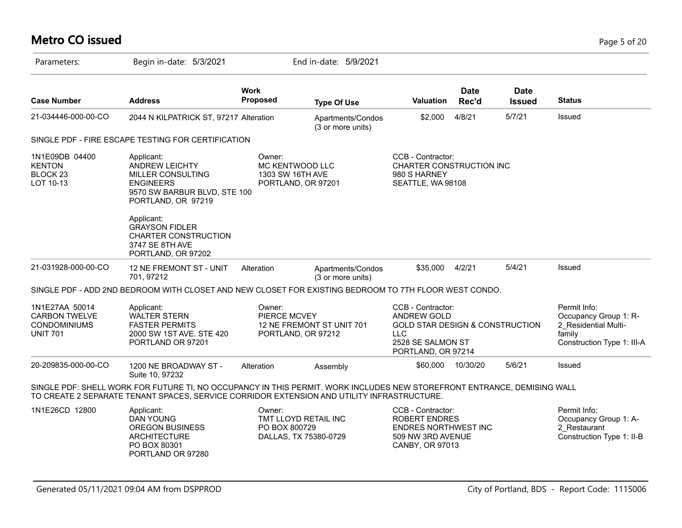# **Metro CO issued** Page 5 of 20

| Parameters:                                                                      | Begin in-date: 5/3/2021                                                                                                                                                                                               |                                                                          | End in-date: 5/9/2021                  |                                                                                                                                                |                      |                              |                                                                                                       |
|----------------------------------------------------------------------------------|-----------------------------------------------------------------------------------------------------------------------------------------------------------------------------------------------------------------------|--------------------------------------------------------------------------|----------------------------------------|------------------------------------------------------------------------------------------------------------------------------------------------|----------------------|------------------------------|-------------------------------------------------------------------------------------------------------|
| <b>Case Number</b>                                                               | <b>Address</b>                                                                                                                                                                                                        | <b>Work</b><br><b>Proposed</b>                                           | <b>Type Of Use</b>                     | <b>Valuation</b>                                                                                                                               | <b>Date</b><br>Rec'd | <b>Date</b><br><b>Issued</b> | <b>Status</b>                                                                                         |
| 21-034446-000-00-CO                                                              | 2044 N KILPATRICK ST, 97217 Alteration                                                                                                                                                                                |                                                                          | Apartments/Condos<br>(3 or more units) | \$2,000                                                                                                                                        | 4/8/21               | 5/7/21                       | Issued                                                                                                |
|                                                                                  | SINGLE PDF - FIRE ESCAPE TESTING FOR CERTIFICATION                                                                                                                                                                    |                                                                          |                                        |                                                                                                                                                |                      |                              |                                                                                                       |
| 1N1E09DB 04400<br><b>KENTON</b><br>BLOCK <sub>23</sub><br>LOT 10-13              | Applicant:<br>ANDREW LEICHTY<br><b>MILLER CONSULTING</b><br><b>ENGINEERS</b><br>9570 SW BARBUR BLVD, STE 100<br>PORTLAND, OR 97219                                                                                    | Owner:<br>MC KENTWOOD LLC<br>1303 SW 16TH AVE<br>PORTLAND, OR 97201      |                                        | CCB - Contractor:<br>CHARTER CONSTRUCTION INC<br>980 S HARNEY<br>SEATTLE, WA 98108                                                             |                      |                              |                                                                                                       |
|                                                                                  | Applicant:<br><b>GRAYSON FIDLER</b><br>CHARTER CONSTRUCTION<br>3747 SE 8TH AVE<br>PORTLAND, OR 97202                                                                                                                  |                                                                          |                                        |                                                                                                                                                |                      |                              |                                                                                                       |
| 21-031928-000-00-CO                                                              | 12 NE FREMONT ST - UNIT<br>701, 97212                                                                                                                                                                                 | Alteration                                                               | Apartments/Condos<br>(3 or more units) | \$35,000                                                                                                                                       | 4/2/21               | 5/4/21                       | Issued                                                                                                |
|                                                                                  | SINGLE PDF - ADD 2ND BEDROOM WITH CLOSET AND NEW CLOSET FOR EXISTING BEDROOM TO 7TH FLOOR WEST CONDO.                                                                                                                 |                                                                          |                                        |                                                                                                                                                |                      |                              |                                                                                                       |
| 1N1E27AA 50014<br><b>CARBON TWELVE</b><br><b>CONDOMINIUMS</b><br><b>UNIT 701</b> | Applicant:<br><b>WALTER STERN</b><br><b>FASTER PERMITS</b><br>2000 SW 1ST AVE. STE 420<br>PORTLAND OR 97201                                                                                                           | Owner:<br>PIERCE MCVEY<br>PORTLAND, OR 97212                             | 12 NE FREMONT ST UNIT 701              | CCB - Contractor:<br><b>ANDREW GOLD</b><br><b>GOLD STAR DESIGN &amp; CONSTRUCTION</b><br><b>LLC</b><br>2528 SE SALMON ST<br>PORTLAND, OR 97214 |                      |                              | Permit Info:<br>Occupancy Group 1: R-<br>2 Residential Multi-<br>family<br>Construction Type 1: III-A |
| 20-209835-000-00-CO                                                              | 1200 NE BROADWAY ST -<br>Suite 10, 97232                                                                                                                                                                              | Alteration                                                               | Assembly                               | \$60,000                                                                                                                                       | 10/30/20             | 5/6/21                       | Issued                                                                                                |
|                                                                                  | SINGLE PDF: SHELL WORK FOR FUTURE TI, NO OCCUPANCY IN THIS PERMIT. WORK INCLUDES NEW STOREFRONT ENTRANCE, DEMISING WALL<br>TO CREATE 2 SEPARATE TENANT SPACES, SERVICE CORRIDOR EXTENSION AND UTILITY INFRASTRUCTURE. |                                                                          |                                        |                                                                                                                                                |                      |                              |                                                                                                       |
| 1N1E26CD 12800                                                                   | Applicant:<br><b>DAN YOUNG</b><br><b>OREGON BUSINESS</b><br><b>ARCHITECTURE</b><br>PO BOX 80301<br>PORTLAND OR 97280                                                                                                  | Owner:<br>TMT LLOYD RETAIL INC<br>PO BOX 800729<br>DALLAS, TX 75380-0729 |                                        | CCB - Contractor:<br><b>ROBERT ENDRES</b><br>ENDRES NORTHWEST INC<br>509 NW 3RD AVENUE<br>CANBY, OR 97013                                      |                      |                              | Permit Info:<br>Occupancy Group 1: A-<br>2 Restaurant<br>Construction Type 1: II-B                    |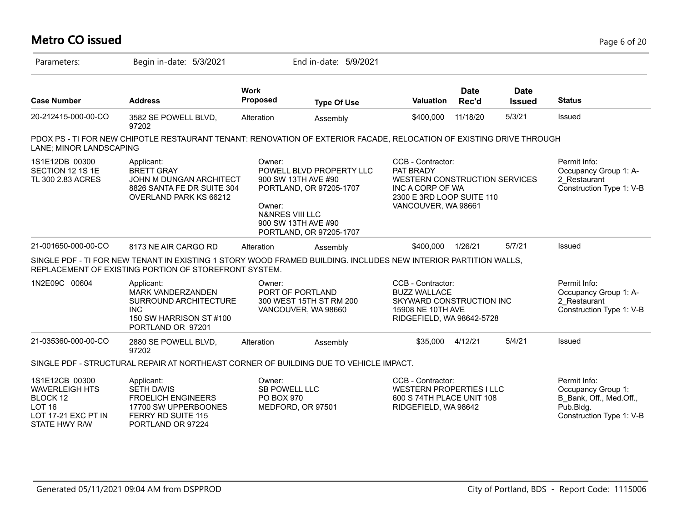| <b>Metro CO issued</b>                                                                                           |                                                                                                                                                                          |                                                     |                                                                                                                              |                                                                                                                                         |                      |                              | Page 6 of 20                                                                                           |
|------------------------------------------------------------------------------------------------------------------|--------------------------------------------------------------------------------------------------------------------------------------------------------------------------|-----------------------------------------------------|------------------------------------------------------------------------------------------------------------------------------|-----------------------------------------------------------------------------------------------------------------------------------------|----------------------|------------------------------|--------------------------------------------------------------------------------------------------------|
| Parameters:                                                                                                      | Begin in-date: 5/3/2021                                                                                                                                                  |                                                     | End in-date: 5/9/2021                                                                                                        |                                                                                                                                         |                      |                              |                                                                                                        |
| <b>Case Number</b>                                                                                               | <b>Address</b>                                                                                                                                                           | Work<br>Proposed                                    | <b>Type Of Use</b>                                                                                                           | <b>Valuation</b>                                                                                                                        | <b>Date</b><br>Rec'd | <b>Date</b><br><b>Issued</b> | <b>Status</b>                                                                                          |
| 20-212415-000-00-CO                                                                                              | 3582 SE POWELL BLVD,<br>97202                                                                                                                                            | Alteration                                          | Assembly                                                                                                                     | \$400,000                                                                                                                               | 11/18/20             | 5/3/21                       | Issued                                                                                                 |
| LANE; MINOR LANDSCAPING                                                                                          | PDOX PS - TI FOR NEW CHIPOTLE RESTAURANT TENANT: RENOVATION OF EXTERIOR FACADE, RELOCATION OF EXISTING DRIVE THROUGH                                                     |                                                     |                                                                                                                              |                                                                                                                                         |                      |                              |                                                                                                        |
| 1S1E12DB 00300<br>SECTION 12 1S 1E<br>TL 300 2.83 ACRES                                                          | Applicant:<br><b>BRETT GRAY</b><br>JOHN M DUNGAN ARCHITECT<br>8826 SANTA FE DR SUITE 304<br>OVERLAND PARK KS 66212                                                       | Owner:<br>Owner:<br><b>N&amp;NRES VIII LLC</b>      | POWELL BLVD PROPERTY LLC<br>900 SW 13TH AVE #90<br>PORTLAND, OR 97205-1707<br>900 SW 13TH AVE #90<br>PORTLAND, OR 97205-1707 | CCB - Contractor:<br>PAT BRADY<br>WESTERN CONSTRUCTION SERVICES<br>INC A CORP OF WA<br>2300 E 3RD LOOP SUITE 110<br>VANCOUVER, WA 98661 |                      |                              | Permit Info:<br>Occupancy Group 1: A-<br>2 Restaurant<br>Construction Type 1: V-B                      |
| 21-001650-000-00-CO                                                                                              | 8173 NE AIR CARGO RD                                                                                                                                                     | Alteration                                          | Assembly                                                                                                                     | \$400,000                                                                                                                               | 1/26/21              | 5/7/21                       | Issued                                                                                                 |
|                                                                                                                  | SINGLE PDF - TI FOR NEW TENANT IN EXISTING 1 STORY WOOD FRAMED BUILDING. INCLUDES NEW INTERIOR PARTITION WALLS,<br>REPLACEMENT OF EXISTING PORTION OF STOREFRONT SYSTEM. |                                                     |                                                                                                                              |                                                                                                                                         |                      |                              |                                                                                                        |
| 1N2E09C 00604                                                                                                    | Applicant:<br>MARK VANDERZANDEN<br>SURROUND ARCHITECTURE<br><b>INC</b><br>150 SW HARRISON ST #100<br>PORTLAND OR 97201                                                   | Owner:                                              | PORT OF PORTLAND<br>300 WEST 15TH ST RM 200<br>VANCOUVER, WA 98660                                                           | CCB - Contractor:<br><b>BUZZ WALLACE</b><br>SKYWARD CONSTRUCTION INC<br>15908 NE 10TH AVE<br>RIDGEFIELD, WA 98642-5728                  |                      |                              | Permit Info:<br>Occupancy Group 1: A-<br>2 Restaurant<br>Construction Type 1: V-B                      |
| 21-035360-000-00-CO                                                                                              | 2880 SE POWELL BLVD,<br>97202                                                                                                                                            | Alteration                                          | Assembly                                                                                                                     | \$35,000                                                                                                                                | 4/12/21              | 5/4/21                       | Issued                                                                                                 |
|                                                                                                                  | SINGLE PDF - STRUCTURAL REPAIR AT NORTHEAST CORNER OF BUILDING DUE TO VEHICLE IMPACT.                                                                                    |                                                     |                                                                                                                              |                                                                                                                                         |                      |                              |                                                                                                        |
| 1S1E12CB 00300<br><b>WAVERLEIGH HTS</b><br>BLOCK 12<br>LOT <sub>16</sub><br>LOT 17-21 EXC PT IN<br>STATE HWY R/W | Applicant:<br><b>SETH DAVIS</b><br><b>FROELICH ENGINEERS</b><br>17700 SW UPPERBOONES<br>FERRY RD SUITE 115<br>PORTLAND OR 97224                                          | Owner:<br><b>SB POWELL LLC</b><br><b>PO BOX 970</b> | MEDFORD, OR 97501                                                                                                            | CCB - Contractor:<br><b>WESTERN PROPERTIES I LLC</b><br>600 S 74TH PLACE UNIT 108<br>RIDGEFIELD, WA 98642                               |                      |                              | Permit Info:<br>Occupancy Group 1:<br>B Bank, Off., Med.Off.,<br>Pub.Bldg.<br>Construction Type 1: V-B |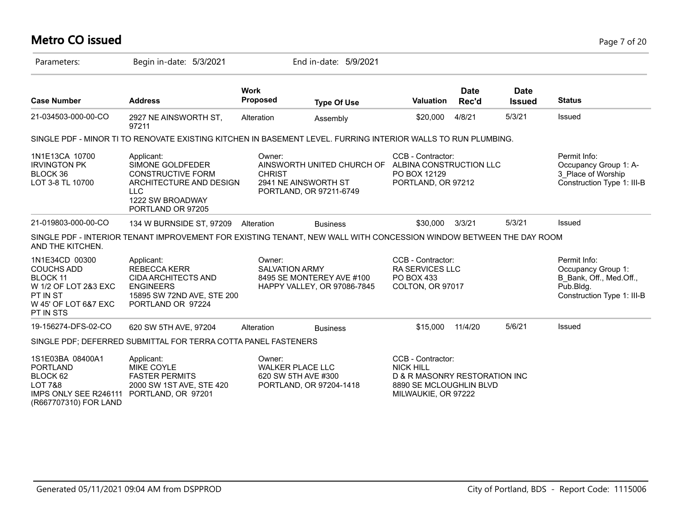#### **Metro CO issued** Page 7 of 20

| Parameters:                                                                                                                     | Begin in-date: 5/3/2021                                                                                                                      |                                                          | End in-date: 5/9/2021                                                         |                                                                                                                          |                      |                              |                                                                                                          |
|---------------------------------------------------------------------------------------------------------------------------------|----------------------------------------------------------------------------------------------------------------------------------------------|----------------------------------------------------------|-------------------------------------------------------------------------------|--------------------------------------------------------------------------------------------------------------------------|----------------------|------------------------------|----------------------------------------------------------------------------------------------------------|
| <b>Case Number</b>                                                                                                              | <b>Address</b>                                                                                                                               | <b>Work</b><br><b>Proposed</b>                           | <b>Type Of Use</b>                                                            | <b>Valuation</b>                                                                                                         | <b>Date</b><br>Rec'd | <b>Date</b><br><b>Issued</b> | <b>Status</b>                                                                                            |
| 21-034503-000-00-CO                                                                                                             | 2927 NE AINSWORTH ST,<br>97211                                                                                                               | Alteration                                               | Assembly                                                                      | \$20,000                                                                                                                 | 4/8/21               | 5/3/21                       | Issued                                                                                                   |
|                                                                                                                                 | SINGLE PDF - MINOR TI TO RENOVATE EXISTING KITCHEN IN BASEMENT LEVEL. FURRING INTERIOR WALLS TO RUN PLUMBING.                                |                                                          |                                                                               |                                                                                                                          |                      |                              |                                                                                                          |
| 1N1E13CA 10700<br><b>IRVINGTON PK</b><br>BLOCK 36<br>LOT 3-8 TL 10700                                                           | Applicant:<br>SIMONE GOLDFEDER<br><b>CONSTRUCTIVE FORM</b><br>ARCHITECTURE AND DESIGN<br><b>LLC</b><br>1222 SW BROADWAY<br>PORTLAND OR 97205 | Owner:<br><b>CHRIST</b>                                  | AINSWORTH UNITED CHURCH OF<br>2941 NE AINSWORTH ST<br>PORTLAND, OR 97211-6749 | CCB - Contractor:<br>ALBINA CONSTRUCTION LLC<br>PO BOX 12129<br>PORTLAND, OR 97212                                       |                      |                              | Permit Info:<br>Occupancy Group 1: A-<br>3 Place of Worship<br>Construction Type 1: III-B                |
| 21-019803-000-00-CO                                                                                                             | 134 W BURNSIDE ST, 97209                                                                                                                     | Alteration                                               | <b>Business</b>                                                               | \$30,000                                                                                                                 | 3/3/21               | 5/3/21                       | Issued                                                                                                   |
| AND THE KITCHEN.                                                                                                                | SINGLE PDF - INTERIOR TENANT IMPROVEMENT FOR EXISTING TENANT, NEW WALL WITH CONCESSION WINDOW BETWEEN THE DAY ROOM                           |                                                          |                                                                               |                                                                                                                          |                      |                              |                                                                                                          |
| 1N1E34CD 00300<br><b>COUCHS ADD</b><br><b>BLOCK 11</b><br>W 1/2 OF LOT 2&3 EXC<br>PT IN ST<br>W 45' OF LOT 6&7 EXC<br>PT IN STS | Applicant:<br>REBECCA KERR<br><b>CIDA ARCHITECTS AND</b><br><b>ENGINEERS</b><br>15895 SW 72ND AVE, STE 200<br>PORTLAND OR 97224              | Owner:<br><b>SALVATION ARMY</b>                          | 8495 SE MONTEREY AVE #100<br>HAPPY VALLEY, OR 97086-7845                      | CCB - Contractor:<br><b>RA SERVICES LLC</b><br>PO BOX 433<br>COLTON, OR 97017                                            |                      |                              | Permit Info:<br>Occupancy Group 1:<br>B Bank, Off., Med.Off.,<br>Pub.Bldg.<br>Construction Type 1: III-B |
| 19-156274-DFS-02-CO                                                                                                             | 620 SW 5TH AVE, 97204                                                                                                                        | Alteration                                               | <b>Business</b>                                                               | \$15,000                                                                                                                 | 11/4/20              | 5/6/21                       | Issued                                                                                                   |
|                                                                                                                                 | SINGLE PDF; DEFERRED SUBMITTAL FOR TERRA COTTA PANEL FASTENERS                                                                               |                                                          |                                                                               |                                                                                                                          |                      |                              |                                                                                                          |
| 1S1E03BA 08400A1<br><b>PORTLAND</b><br>BLOCK 62<br><b>LOT 7&amp;8</b><br>IMPS ONLY SEE R246111<br>(R667707310) FOR LAND         | Applicant:<br><b>MIKE COYLE</b><br><b>FASTER PERMITS</b><br>2000 SW 1ST AVE, STE 420<br>PORTLAND, OR 97201                                   | Owner:<br><b>WALKER PLACE LLC</b><br>620 SW 5TH AVE #300 | PORTLAND, OR 97204-1418                                                       | CCB - Contractor:<br><b>NICK HILL</b><br>D & R MASONRY RESTORATION INC<br>8890 SE MCLOUGHLIN BLVD<br>MILWAUKIE, OR 97222 |                      |                              |                                                                                                          |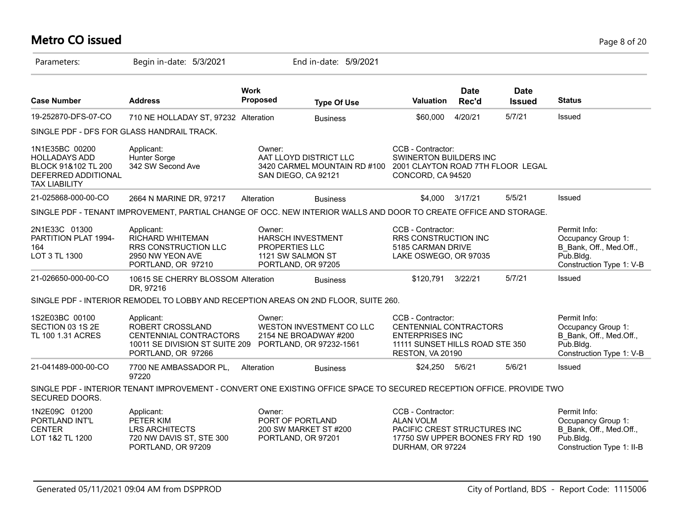# **Metro CO issued** Page 8 of 20

| Parameters:                                                                                                  | Begin in-date: 5/3/2021                                                                                                                  |                          | End in-date: 5/9/2021                                                         |                                                                                                                               |                      |                              |                                                                                                         |
|--------------------------------------------------------------------------------------------------------------|------------------------------------------------------------------------------------------------------------------------------------------|--------------------------|-------------------------------------------------------------------------------|-------------------------------------------------------------------------------------------------------------------------------|----------------------|------------------------------|---------------------------------------------------------------------------------------------------------|
| <b>Case Number</b>                                                                                           | <b>Address</b>                                                                                                                           | <b>Work</b><br>Proposed  | <b>Type Of Use</b>                                                            | Valuation                                                                                                                     | <b>Date</b><br>Rec'd | <b>Date</b><br><b>Issued</b> | <b>Status</b>                                                                                           |
| 19-252870-DFS-07-CO                                                                                          | 710 NE HOLLADAY ST, 97232 Alteration                                                                                                     |                          | <b>Business</b>                                                               | \$60,000                                                                                                                      | 4/20/21              | 5/7/21                       | Issued                                                                                                  |
|                                                                                                              | SINGLE PDF - DFS FOR GLASS HANDRAIL TRACK.                                                                                               |                          |                                                                               |                                                                                                                               |                      |                              |                                                                                                         |
| 1N1E35BC 00200<br><b>HOLLADAYS ADD</b><br>BLOCK 91&102 TL 200<br>DEFERRED ADDITIONAL<br><b>TAX LIABILITY</b> | Applicant:<br>Hunter Sorge<br>342 SW Second Ave                                                                                          | Owner:                   | AAT LLOYD DISTRICT LLC<br>3420 CARMEL MOUNTAIN RD #100<br>SAN DIEGO, CA 92121 | CCB - Contractor:<br>SWINERTON BUILDERS INC<br>2001 CLAYTON ROAD 7TH FLOOR LEGAL<br>CONCORD, CA 94520                         |                      |                              |                                                                                                         |
| 21-025868-000-00-CO                                                                                          | 2664 N MARINE DR, 97217                                                                                                                  | Alteration               | <b>Business</b>                                                               | \$4,000 3/17/21                                                                                                               |                      | 5/5/21                       | Issued                                                                                                  |
|                                                                                                              | SINGLE PDF - TENANT IMPROVEMENT, PARTIAL CHANGE OF OCC. NEW INTERIOR WALLS AND DOOR TO CREATE OFFICE AND STORAGE.                        |                          |                                                                               |                                                                                                                               |                      |                              |                                                                                                         |
| 2N1E33C 01300<br>PARTITION PLAT 1994-<br>164<br>LOT 3 TL 1300                                                | Applicant:<br>RICHARD WHITEMAN<br><b>RRS CONSTRUCTION LLC</b><br>2950 NW YEON AVE<br>PORTLAND, OR 97210                                  | Owner:<br>PROPERTIES LLC | <b>HARSCH INVESTMENT</b><br>1121 SW SALMON ST<br>PORTLAND, OR 97205           | CCB - Contractor:<br>RRS CONSTRUCTION INC<br>5185 CARMAN DRIVE<br>LAKE OSWEGO, OR 97035                                       |                      |                              | Permit Info:<br>Occupancy Group 1:<br>B Bank, Off., Med.Off.,<br>Pub.Bldg.<br>Construction Type 1: V-B  |
| 21-026650-000-00-CO                                                                                          | 10615 SE CHERRY BLOSSOM Alteration<br>DR, 97216                                                                                          |                          | <b>Business</b>                                                               | \$120,791                                                                                                                     | 3/22/21              | 5/7/21                       | Issued                                                                                                  |
|                                                                                                              | SINGLE PDF - INTERIOR REMODEL TO LOBBY AND RECEPTION AREAS ON 2ND FLOOR, SUITE 260.                                                      |                          |                                                                               |                                                                                                                               |                      |                              |                                                                                                         |
| 1S2E03BC 00100<br>SECTION 03 1S 2E<br>TL 100 1.31 ACRES                                                      | Applicant:<br>ROBERT CROSSLAND<br>CENTENNIAL CONTRACTORS<br>10011 SE DIVISION ST SUITE 209 PORTLAND, OR 97232-1561<br>PORTLAND, OR 97266 | Owner:                   | WESTON INVESTMENT CO LLC<br>2154 NE BROADWAY #200                             | CCB - Contractor:<br>CENTENNIAL CONTRACTORS<br><b>ENTERPRISES INC</b><br>11111 SUNSET HILLS ROAD STE 350<br>RESTON, VA 20190  |                      |                              | Permit Info:<br>Occupancy Group 1:<br>B Bank, Off., Med.Off.,<br>Pub.Bldg.<br>Construction Type 1: V-B  |
| 21-041489-000-00-CO                                                                                          | 7700 NE AMBASSADOR PL,<br>97220                                                                                                          | Alteration               | <b>Business</b>                                                               | \$24,250 5/6/21                                                                                                               |                      | 5/6/21                       | Issued                                                                                                  |
| SECURED DOORS.                                                                                               | SINGLE PDF - INTERIOR TENANT IMPROVEMENT - CONVERT ONE EXISTING OFFICE SPACE TO SECURED RECEPTION OFFICE. PROVIDE TWO                    |                          |                                                                               |                                                                                                                               |                      |                              |                                                                                                         |
| 1N2E09C 01200<br>PORTLAND INT'L<br><b>CENTER</b><br>LOT 1&2 TL 1200                                          | Applicant:<br>PETER KIM<br><b>LRS ARCHITECTS</b><br>720 NW DAVIS ST, STE 300<br>PORTLAND, OR 97209                                       | Owner:                   | PORT OF PORTLAND<br>200 SW MARKET ST #200<br>PORTLAND, OR 97201               | CCB - Contractor:<br><b>ALAN VOLM</b><br>PACIFIC CREST STRUCTURES INC<br>17750 SW UPPER BOONES FRY RD 190<br>DURHAM, OR 97224 |                      |                              | Permit Info:<br>Occupancy Group 1:<br>B Bank, Off., Med.Off.,<br>Pub.Bldg.<br>Construction Type 1: II-B |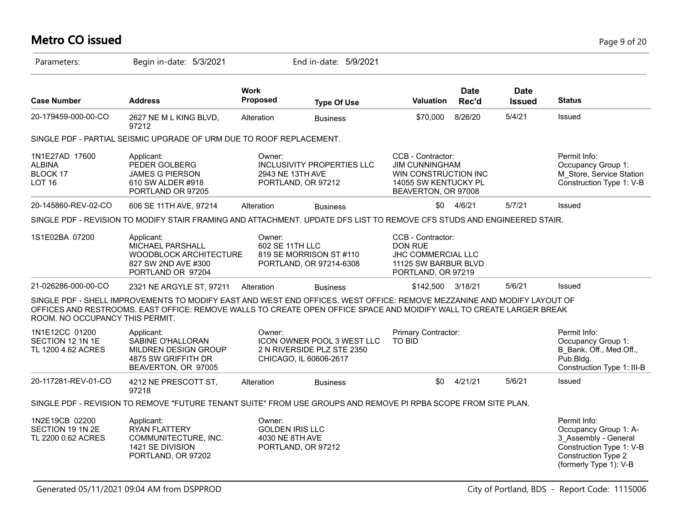# **Metro CO issued** Page 9 of 20

| Parameters:                                                      | Begin in-date: 5/3/2021                                                                                                                                                                                                                         |                                                     | End in-date: 5/9/2021                                                              |                                                                                                                   |                      |                              |                                                                                                                                                   |
|------------------------------------------------------------------|-------------------------------------------------------------------------------------------------------------------------------------------------------------------------------------------------------------------------------------------------|-----------------------------------------------------|------------------------------------------------------------------------------------|-------------------------------------------------------------------------------------------------------------------|----------------------|------------------------------|---------------------------------------------------------------------------------------------------------------------------------------------------|
| <b>Case Number</b>                                               | <b>Address</b>                                                                                                                                                                                                                                  | <b>Work</b><br>Proposed                             | <b>Type Of Use</b>                                                                 | Valuation                                                                                                         | <b>Date</b><br>Rec'd | <b>Date</b><br><b>Issued</b> | <b>Status</b>                                                                                                                                     |
| 20-179459-000-00-CO                                              | 2627 NE M L KING BLVD,<br>97212                                                                                                                                                                                                                 | Alteration                                          | <b>Business</b>                                                                    | \$70,000                                                                                                          | 8/26/20              | 5/4/21                       | Issued                                                                                                                                            |
|                                                                  | SINGLE PDF - PARTIAL SEISMIC UPGRADE OF URM DUE TO ROOF REPLACEMENT.                                                                                                                                                                            |                                                     |                                                                                    |                                                                                                                   |                      |                              |                                                                                                                                                   |
| 1N1E27AD 17600<br><b>ALBINA</b><br>BLOCK 17<br>LOT <sub>16</sub> | Applicant:<br>PEDER GOLBERG<br><b>JAMES G PIERSON</b><br>610 SW ALDER #918<br>PORTLAND OR 97205                                                                                                                                                 | Owner:<br>2943 NE 13TH AVE                          | <b>INCLUSIVITY PROPERTIES LLC</b><br>PORTLAND, OR 97212                            | CCB - Contractor:<br><b>JIM CUNNINGHAM</b><br>WIN CONSTRUCTION INC<br>14055 SW KENTUCKY PL<br>BEAVERTON, OR 97008 |                      |                              | Permit Info:<br>Occupancy Group 1:<br>M Store, Service Station<br>Construction Type 1: V-B                                                        |
| 20-145860-REV-02-CO                                              | 606 SE 11TH AVE, 97214                                                                                                                                                                                                                          | Alteration                                          | <b>Business</b>                                                                    | \$0                                                                                                               | 4/6/21               | 5/7/21                       | Issued                                                                                                                                            |
|                                                                  | SINGLE PDF - REVISION TO MODIFY STAIR FRAMING AND ATTACHMENT. UPDATE DFS LIST TO REMOVE CFS STUDS AND ENGINEERED STAIR.                                                                                                                         |                                                     |                                                                                    |                                                                                                                   |                      |                              |                                                                                                                                                   |
| 1S1E02BA 07200                                                   | Applicant:<br>MICHAEL PARSHALL<br>WOODBLOCK ARCHITECTURE<br>827 SW 2ND AVE #300<br>PORTLAND OR 97204                                                                                                                                            | Owner:<br>602 SE 11TH LLC                           | 819 SE MORRISON ST #110<br>PORTLAND, OR 97214-6308                                 | CCB - Contractor:<br><b>DON RUE</b><br>JHC COMMERCIAL LLC<br>11125 SW BARBUR BLVD<br>PORTLAND, OR 97219           |                      |                              |                                                                                                                                                   |
| 21-026286-000-00-CO                                              | 2321 NE ARGYLE ST, 97211                                                                                                                                                                                                                        | Alteration                                          | <b>Business</b>                                                                    | \$142,500 3/18/21                                                                                                 |                      | 5/6/21                       | Issued                                                                                                                                            |
| ROOM. NO OCCUPANCY THIS PERMIT.                                  | SINGLE PDF - SHELL IMPROVEMENTS TO MODIFY EAST AND WEST END OFFICES. WEST OFFICE: REMOVE MEZZANINE AND MODIFY LAYOUT OF<br>OFFICES AND RESTROOMS. EAST OFFICE: REMOVE WALLS TO CREATE OPEN OFFICE SPACE AND MOIDIFY WALL TO CREATE LARGER BREAK |                                                     |                                                                                    |                                                                                                                   |                      |                              |                                                                                                                                                   |
| 1N1E12CC 01200<br>SECTION 12 1N 1E<br>TL 1200 4.62 ACRES         | Applicant:<br>SABINE O'HALLORAN<br>MILDREN DESIGN GROUP<br>4875 SW GRIFFITH DR<br>BEAVERTON, OR 97005                                                                                                                                           | Owner:                                              | ICON OWNER POOL 3 WEST LLC<br>2 N RIVERSIDE PLZ STE 2350<br>CHICAGO, IL 60606-2617 | Primary Contractor:<br><b>TO BID</b>                                                                              |                      |                              | Permit Info:<br>Occupancy Group 1:<br>B Bank, Off., Med.Off.,<br>Pub.Bldg.<br>Construction Type 1: III-B                                          |
| 20-117281-REV-01-CO                                              | 4212 NE PRESCOTT ST,<br>97218                                                                                                                                                                                                                   | Alteration                                          | <b>Business</b>                                                                    | \$0                                                                                                               | 4/21/21              | 5/6/21                       | Issued                                                                                                                                            |
|                                                                  | SINGLE PDF - REVISION TO REMOVE "FUTURE TENANT SUITE" FROM USE GROUPS AND REMOVE PI RPBA SCOPE FROM SITE PLAN.                                                                                                                                  |                                                     |                                                                                    |                                                                                                                   |                      |                              |                                                                                                                                                   |
| 1N2E19CB 02200<br>SECTION 19 1N 2E<br>TL 2200 0.62 ACRES         | Applicant:<br><b>RYAN FLATTERY</b><br>COMMUNITECTURE, INC.<br>1421 SE DIVISION<br>PORTLAND, OR 97202                                                                                                                                            | Owner:<br><b>GOLDEN IRIS LLC</b><br>4030 NE 8TH AVE | PORTLAND, OR 97212                                                                 |                                                                                                                   |                      |                              | Permit Info:<br>Occupancy Group 1: A-<br>3_Assembly - General<br>Construction Type 1: V-B<br><b>Construction Type 2</b><br>(formerly Type 1): V-B |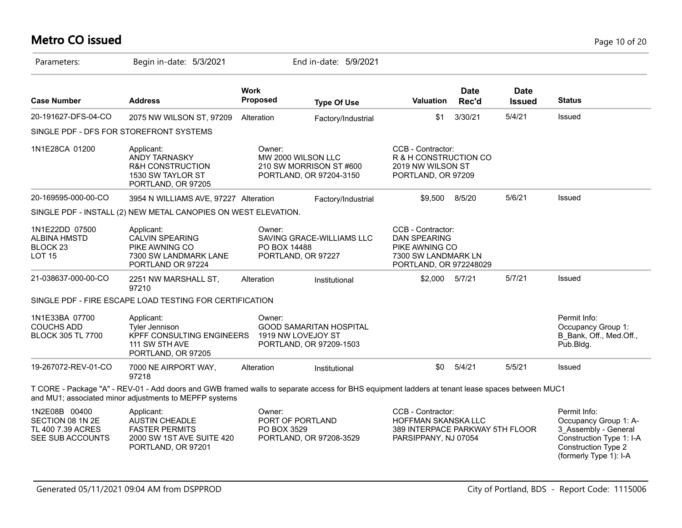#### **Metro CO issued** Page 10 of 20

| Parameters:                                                                   | Begin in-date: 5/3/2021                                                                                                                                                                                   |                         | End in-date: 5/9/2021                                                           |                                                                                                     |                                                                                                             |                              |                                                                                                                                            |
|-------------------------------------------------------------------------------|-----------------------------------------------------------------------------------------------------------------------------------------------------------------------------------------------------------|-------------------------|---------------------------------------------------------------------------------|-----------------------------------------------------------------------------------------------------|-------------------------------------------------------------------------------------------------------------|------------------------------|--------------------------------------------------------------------------------------------------------------------------------------------|
| <b>Case Number</b>                                                            | <b>Address</b>                                                                                                                                                                                            | <b>Work</b><br>Proposed | <b>Type Of Use</b>                                                              | Valuation                                                                                           | <b>Date</b><br>Rec'd                                                                                        | <b>Date</b><br><b>Issued</b> | <b>Status</b>                                                                                                                              |
| 20-191627-DFS-04-CO                                                           | 2075 NW WILSON ST, 97209                                                                                                                                                                                  | Alteration              | Factory/Industrial                                                              | \$1                                                                                                 | 3/30/21                                                                                                     | 5/4/21                       | Issued                                                                                                                                     |
|                                                                               | SINGLE PDF - DFS FOR STOREFRONT SYSTEMS                                                                                                                                                                   |                         |                                                                                 |                                                                                                     |                                                                                                             |                              |                                                                                                                                            |
| 1N1E28CA 01200                                                                | Applicant:<br>ANDY TARNASKY<br><b>R&amp;H CONSTRUCTION</b><br>1530 SW TAYLOR ST<br>PORTLAND, OR 97205                                                                                                     | Owner:                  | MW 2000 WILSON LLC<br>210 SW MORRISON ST #600<br>PORTLAND, OR 97204-3150        | CCB - Contractor:<br>R & H CONSTRUCTION CO<br>2019 NW WILSON ST<br>PORTLAND, OR 97209               |                                                                                                             |                              |                                                                                                                                            |
| 20-169595-000-00-CO                                                           | 3954 N WILLIAMS AVE, 97227 Alteration                                                                                                                                                                     |                         | Factory/Industrial                                                              | \$9,500                                                                                             | 8/5/20                                                                                                      | 5/6/21                       | <b>Issued</b>                                                                                                                              |
|                                                                               | SINGLE PDF - INSTALL (2) NEW METAL CANOPIES ON WEST ELEVATION.                                                                                                                                            |                         |                                                                                 |                                                                                                     |                                                                                                             |                              |                                                                                                                                            |
| 1N1E22DD 07500<br><b>ALBINA HMSTD</b><br>BLOCK <sub>23</sub><br><b>LOT 15</b> | Applicant:<br><b>CALVIN SPEARING</b><br>PIKE AWNING CO<br>7300 SW LANDMARK LANE<br>PORTLAND OR 97224                                                                                                      | Owner:                  | SAVING GRACE-WILLIAMS LLC<br>PO BOX 14488<br>PORTLAND, OR 97227                 |                                                                                                     | CCB - Contractor:<br><b>DAN SPEARING</b><br>PIKE AWNING CO<br>7300 SW LANDMARK LN<br>PORTLAND, OR 972248029 |                              |                                                                                                                                            |
| 21-038637-000-00-CO                                                           | 2251 NW MARSHALL ST,<br>97210                                                                                                                                                                             | Alteration              | Institutional                                                                   | \$2,000                                                                                             | 5/7/21                                                                                                      | 5/7/21                       | Issued                                                                                                                                     |
|                                                                               | SINGLE PDF - FIRE ESCAPE LOAD TESTING FOR CERTIFICATION                                                                                                                                                   |                         |                                                                                 |                                                                                                     |                                                                                                             |                              |                                                                                                                                            |
| 1N1E33BA 07700<br><b>COUCHS ADD</b><br><b>BLOCK 305 TL 7700</b>               | Applicant:<br><b>Tyler Jennison</b><br>KPFF CONSULTING ENGINEERS<br><b>111 SW 5TH AVE</b><br>PORTLAND, OR 97205                                                                                           | Owner:                  | <b>GOOD SAMARITAN HOSPITAL</b><br>1919 NW LOVEJOY ST<br>PORTLAND, OR 97209-1503 |                                                                                                     |                                                                                                             |                              | Permit Info:<br>Occupancy Group 1:<br>B Bank, Off., Med.Off.,<br>Pub.Bldg.                                                                 |
| 19-267072-REV-01-CO                                                           | 7000 NE AIRPORT WAY,<br>97218                                                                                                                                                                             | Alteration              | Institutional                                                                   | \$0                                                                                                 | 5/4/21                                                                                                      | 5/5/21                       | <b>Issued</b>                                                                                                                              |
|                                                                               | T CORE - Package "A" - REV-01 - Add doors and GWB framed walls to separate access for BHS equipment ladders at tenant lease spaces between MUC1<br>and MU1; associated minor adjustments to MEPFP systems |                         |                                                                                 |                                                                                                     |                                                                                                             |                              |                                                                                                                                            |
| 1N2E08B 00400<br>SECTION 08 1N 2E<br>TL 400 7.39 ACRES<br>SEE SUB ACCOUNTS    | Applicant:<br><b>AUSTIN CHEADLE</b><br><b>FASTER PERMITS</b><br>2000 SW 1ST AVE SUITE 420<br>PORTLAND, OR 97201                                                                                           | Owner:<br>PO BOX 3529   | PORT OF PORTLAND<br>PORTLAND, OR 97208-3529                                     | CCB - Contractor:<br>HOFFMAN SKANSKA LLC<br>389 INTERPACE PARKWAY 5TH FLOOR<br>PARSIPPANY, NJ 07054 |                                                                                                             |                              | Permit Info:<br>Occupancy Group 1: A-<br>3 Assembly - General<br>Construction Type 1: I-A<br>Construction Type 2<br>(formerly Type 1): I-A |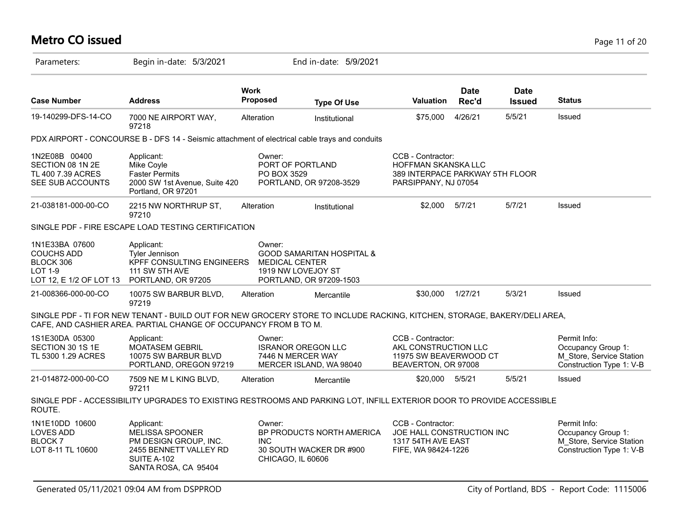# **Metro CO issued** Page 11 of 20

| Parameters:                                                                                                      | Begin in-date: 5/3/2021                                                                                                                                                                      |                                | End in-date: 5/9/2021                                                                                          |                                                                                                     |                      |                              |                                                                                            |
|------------------------------------------------------------------------------------------------------------------|----------------------------------------------------------------------------------------------------------------------------------------------------------------------------------------------|--------------------------------|----------------------------------------------------------------------------------------------------------------|-----------------------------------------------------------------------------------------------------|----------------------|------------------------------|--------------------------------------------------------------------------------------------|
| <b>Case Number</b>                                                                                               | <b>Address</b>                                                                                                                                                                               | <b>Work</b><br><b>Proposed</b> | <b>Type Of Use</b>                                                                                             | <b>Valuation</b>                                                                                    | <b>Date</b><br>Rec'd | <b>Date</b><br><b>Issued</b> | <b>Status</b>                                                                              |
| 19-140299-DFS-14-CO                                                                                              | 7000 NE AIRPORT WAY,<br>97218                                                                                                                                                                | Alteration                     | Institutional                                                                                                  | \$75,000                                                                                            | 4/26/21              | 5/5/21                       | Issued                                                                                     |
|                                                                                                                  | PDX AIRPORT - CONCOURSE B - DFS 14 - Seismic attachment of electrical cable trays and conduits                                                                                               |                                |                                                                                                                |                                                                                                     |                      |                              |                                                                                            |
| 1N2E08B 00400<br>SECTION 08 1N 2E<br>TL 400 7.39 ACRES<br>SEE SUB ACCOUNTS                                       | Applicant:<br>Mike Coyle<br><b>Faster Permits</b><br>2000 SW 1st Avenue, Suite 420<br>Portland, OR 97201                                                                                     | Owner:<br>PO BOX 3529          | PORT OF PORTLAND<br>PORTLAND, OR 97208-3529                                                                    | CCB - Contractor:<br>HOFFMAN SKANSKA LLC<br>389 INTERPACE PARKWAY 5TH FLOOR<br>PARSIPPANY, NJ 07054 |                      |                              |                                                                                            |
| 21-038181-000-00-CO                                                                                              | 2215 NW NORTHRUP ST,<br>97210                                                                                                                                                                | Alteration                     | Institutional                                                                                                  | \$2,000                                                                                             | 5/7/21               | 5/7/21                       | Issued                                                                                     |
|                                                                                                                  | SINGLE PDF - FIRE ESCAPE LOAD TESTING CERTIFICATION                                                                                                                                          |                                |                                                                                                                |                                                                                                     |                      |                              |                                                                                            |
| 1N1E33BA 07600<br><b>COUCHS ADD</b><br>BLOCK 306<br><b>LOT 1-9</b><br>LOT 12, E 1/2 OF LOT 13 PORTLAND, OR 97205 | Applicant:<br><b>Tyler Jennison</b><br>KPFF CONSULTING ENGINEERS<br>111 SW 5TH AVE                                                                                                           | Owner:                         | <b>GOOD SAMARITAN HOSPITAL &amp;</b><br><b>MEDICAL CENTER</b><br>1919 NW LOVEJOY ST<br>PORTLAND, OR 97209-1503 |                                                                                                     |                      |                              |                                                                                            |
| 21-008366-000-00-CO                                                                                              | 10075 SW BARBUR BLVD,<br>97219                                                                                                                                                               | Alteration                     | Mercantile                                                                                                     | \$30,000                                                                                            | 1/27/21              | 5/3/21                       | Issued                                                                                     |
|                                                                                                                  | SINGLE PDF - TI FOR NEW TENANT - BUILD OUT FOR NEW GROCERY STORE TO INCLUDE RACKING, KITCHEN, STORAGE, BAKERY/DELI AREA,<br>CAFE, AND CASHIER AREA. PARTIAL CHANGE OF OCCUPANCY FROM B TO M. |                                |                                                                                                                |                                                                                                     |                      |                              |                                                                                            |
| 1S1E30DA 05300<br>SECTION 30 1S 1E<br>TL 5300 1.29 ACRES                                                         | Applicant:<br><b>MOATASEM GEBRIL</b><br>10075 SW BARBUR BLVD<br>PORTLAND, OREGON 97219                                                                                                       | Owner:                         | <b>ISRANOR OREGON LLC</b><br>7446 N MERCER WAY<br>MERCER ISLAND, WA 98040                                      | CCB - Contractor:<br>AKL CONSTRUCTION LLC<br>11975 SW BEAVERWOOD CT<br>BEAVERTON, OR 97008          |                      |                              | Permit Info:<br>Occupancy Group 1:<br>M_Store, Service Station<br>Construction Type 1: V-B |
| 21-014872-000-00-CO                                                                                              | 7509 NE M L KING BLVD,<br>97211                                                                                                                                                              | Alteration                     | Mercantile                                                                                                     | \$20,000 5/5/21                                                                                     |                      | 5/5/21                       | <b>Issued</b>                                                                              |
| ROUTE.                                                                                                           | SINGLE PDF - ACCESSIBILITY UPGRADES TO EXISTING RESTROOMS AND PARKING LOT, INFILL EXTERIOR DOOR TO PROVIDE ACCESSIBLE                                                                        |                                |                                                                                                                |                                                                                                     |                      |                              |                                                                                            |
| 1N1E10DD 10600<br><b>LOVES ADD</b><br><b>BLOCK7</b><br>LOT 8-11 TL 10600                                         | Applicant:<br><b>MELISSA SPOONER</b><br>PM DESIGN GROUP, INC.<br>2455 BENNETT VALLEY RD<br>SUITE A-102<br>SANTA ROSA, CA 95404                                                               | Owner:<br><b>INC</b>           | BP PRODUCTS NORTH AMERICA<br>30 SOUTH WACKER DR #900<br>CHICAGO, IL 60606                                      | CCB - Contractor:<br>JOE HALL CONSTRUCTION INC<br>1317 54TH AVE EAST<br>FIFE, WA 98424-1226         |                      |                              | Permit Info:<br>Occupancy Group 1:<br>M Store, Service Station<br>Construction Type 1: V-B |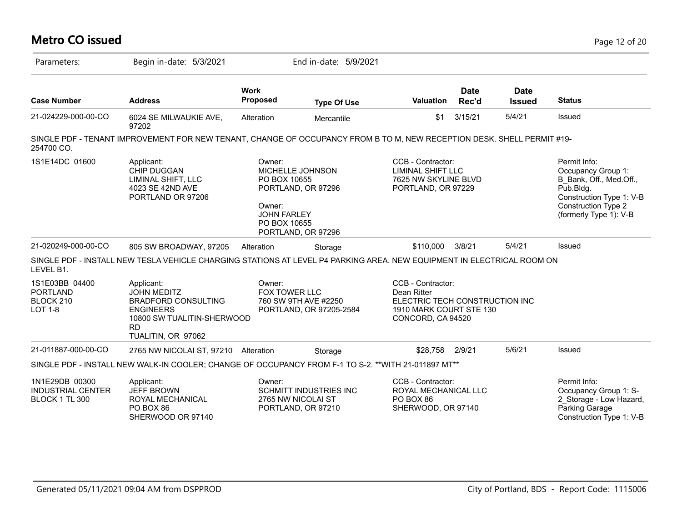| <b>Metro CO issued</b>                                           |                                                                                                                                                     |                                                                                                                                        |                                                                    |                                                                                                                    |                      |                              | Page 12 of 20                                                                                                                                                  |
|------------------------------------------------------------------|-----------------------------------------------------------------------------------------------------------------------------------------------------|----------------------------------------------------------------------------------------------------------------------------------------|--------------------------------------------------------------------|--------------------------------------------------------------------------------------------------------------------|----------------------|------------------------------|----------------------------------------------------------------------------------------------------------------------------------------------------------------|
| Parameters:                                                      | Begin in-date: 5/3/2021                                                                                                                             |                                                                                                                                        | End in-date: 5/9/2021                                              |                                                                                                                    |                      |                              |                                                                                                                                                                |
| <b>Case Number</b>                                               | <b>Address</b>                                                                                                                                      | <b>Work</b><br><b>Proposed</b>                                                                                                         | <b>Type Of Use</b>                                                 | <b>Valuation</b>                                                                                                   | <b>Date</b><br>Rec'd | <b>Date</b><br><b>Issued</b> | <b>Status</b>                                                                                                                                                  |
| 21-024229-000-00-CO                                              | 6024 SE MILWAUKIE AVE,<br>97202                                                                                                                     | Alteration                                                                                                                             | Mercantile                                                         | \$1                                                                                                                | 3/15/21              | 5/4/21                       | Issued                                                                                                                                                         |
| 254700 CO.                                                       | SINGLE PDF - TENANT IMPROVEMENT FOR NEW TENANT, CHANGE OF OCCUPANCY FROM B TO M, NEW RECEPTION DESK. SHELL PERMIT #19-                              |                                                                                                                                        |                                                                    |                                                                                                                    |                      |                              |                                                                                                                                                                |
| 1S1E14DC 01600                                                   | Applicant:<br><b>CHIP DUGGAN</b><br>LIMINAL SHIFT, LLC<br>4023 SE 42ND AVE<br>PORTLAND OR 97206                                                     | Owner:<br>MICHELLE JOHNSON<br>PO BOX 10655<br>PORTLAND, OR 97296<br>Owner:<br><b>JOHN FARLEY</b><br>PO BOX 10655<br>PORTLAND, OR 97296 |                                                                    | CCB - Contractor:<br><b>LIMINAL SHIFT LLC</b><br>7625 NW SKYLINE BLVD<br>PORTLAND, OR 97229                        |                      |                              | Permit Info:<br>Occupancy Group 1:<br>B Bank, Off., Med.Off.,<br>Pub.Bldg.<br>Construction Type 1: V-B<br><b>Construction Type 2</b><br>(formerly Type 1): V-B |
| 21-020249-000-00-CO                                              | 805 SW BROADWAY, 97205                                                                                                                              | Alteration                                                                                                                             | Storage                                                            | \$110,000                                                                                                          | 3/8/21               | 5/4/21                       | Issued                                                                                                                                                         |
| LEVEL B1.                                                        | SINGLE PDF - INSTALL NEW TESLA VEHICLE CHARGING STATIONS AT LEVEL P4 PARKING AREA. NEW EQUIPMENT IN ELECTRICAL ROOM ON                              |                                                                                                                                        |                                                                    |                                                                                                                    |                      |                              |                                                                                                                                                                |
| 1S1E03BB 04400<br><b>PORTLAND</b><br>BLOCK 210<br><b>LOT 1-8</b> | Applicant:<br><b>JOHN MEDITZ</b><br><b>BRADFORD CONSULTING</b><br><b>ENGINEERS</b><br>10800 SW TUALITIN-SHERWOOD<br><b>RD</b><br>TUALITIN, OR 97062 | Owner:<br>FOX TOWER LLC                                                                                                                | 760 SW 9TH AVE #2250<br>PORTLAND, OR 97205-2584                    | CCB - Contractor:<br>Dean Ritter<br>ELECTRIC TECH CONSTRUCTION INC<br>1910 MARK COURT STE 130<br>CONCORD, CA 94520 |                      |                              |                                                                                                                                                                |
| 21-011887-000-00-CO                                              | 2765 NW NICOLAI ST, 97210 Alteration                                                                                                                |                                                                                                                                        | Storage                                                            | \$28,758                                                                                                           | 2/9/21               | 5/6/21                       | Issued                                                                                                                                                         |
|                                                                  | SINGLE PDF - INSTALL NEW WALK-IN COOLER; CHANGE OF OCCUPANCY FROM F-1 TO S-2. ** WITH 21-011897 MT**                                                |                                                                                                                                        |                                                                    |                                                                                                                    |                      |                              |                                                                                                                                                                |
| 1N1E29DB 00300<br><b>INDUSTRIAL CENTER</b><br>BLOCK 1 TL 300     | Applicant:<br><b>JEFF BROWN</b><br>ROYAL MECHANICAL<br>PO BOX 86<br>SHERWOOD OR 97140                                                               | Owner:                                                                                                                                 | SCHMITT INDUSTRIES INC<br>2765 NW NICOLAI ST<br>PORTLAND, OR 97210 | CCB - Contractor:<br>ROYAL MECHANICAL LLC<br>PO BOX 86<br>SHERWOOD, OR 97140                                       |                      |                              | Permit Info:<br>Occupancy Group 1: S-<br>2_Storage - Low Hazard,<br>Parking Garage<br>Construction Type 1: V-B                                                 |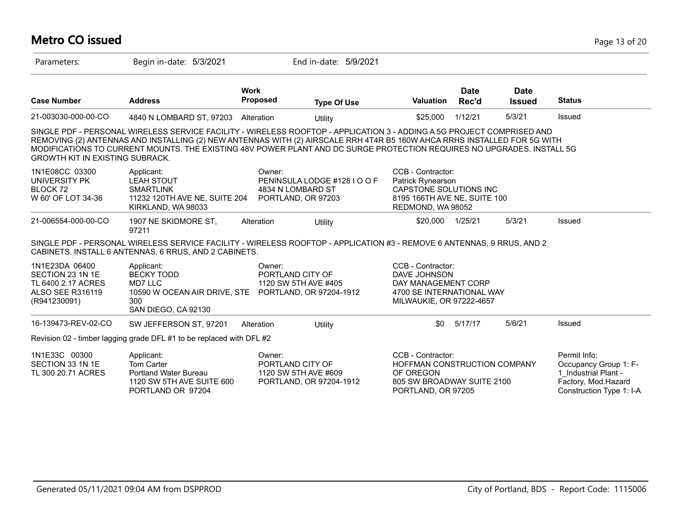| Metro CO issued                                                                              |                                                                                                                                                                                                                                                                                                                                                                              |                                                    |                              |                                                                                                                       |                      |                              | Page 13 of 20                                                                                                    |  |
|----------------------------------------------------------------------------------------------|------------------------------------------------------------------------------------------------------------------------------------------------------------------------------------------------------------------------------------------------------------------------------------------------------------------------------------------------------------------------------|----------------------------------------------------|------------------------------|-----------------------------------------------------------------------------------------------------------------------|----------------------|------------------------------|------------------------------------------------------------------------------------------------------------------|--|
| Parameters:                                                                                  | Begin in-date: 5/3/2021                                                                                                                                                                                                                                                                                                                                                      |                                                    | End in-date: 5/9/2021        |                                                                                                                       |                      |                              |                                                                                                                  |  |
| <b>Case Number</b>                                                                           | <b>Address</b>                                                                                                                                                                                                                                                                                                                                                               | <b>Work</b><br>Proposed                            | <b>Type Of Use</b>           | <b>Valuation</b>                                                                                                      | <b>Date</b><br>Rec'd | <b>Date</b><br><b>Issued</b> | <b>Status</b>                                                                                                    |  |
| 21-003030-000-00-CO                                                                          | 4840 N LOMBARD ST, 97203                                                                                                                                                                                                                                                                                                                                                     | Alteration                                         | Utility                      | \$25,000                                                                                                              | 1/12/21              | 5/3/21                       | Issued                                                                                                           |  |
| <b>GROWTH KIT IN EXISTING SUBRACK.</b>                                                       | SINGLE PDF - PERSONAL WIRELESS SERVICE FACILITY - WIRELESS ROOFTOP - APPLICATION 3 - ADDING A 5G PROJECT COMPRISED AND<br>REMOVING (2) ANTENNAS AND INSTALLING (2) NEW ANTENNAS WITH (2) AIRSCALE RRH 4T4R B5 160W AHCA RRHS INSTALLED FOR 5G WITH<br>MODIFICATIONS TO CURRENT MOUNTS. THE EXISTING 48V POWER PLANT AND DC SURGE PROTECTION REQUIRES NO UPGRADES. INSTALL 5G |                                                    |                              |                                                                                                                       |                      |                              |                                                                                                                  |  |
| 1N1E08CC 03300<br>UNIVERSITY PK<br>BLOCK 72<br>W 60' OF LOT 34-36                            | Applicant:<br><b>LEAH STOUT</b><br><b>SMARTLINK</b><br>11232 120TH AVE NE, SUITE 204<br>KIRKLAND, WA 98033                                                                                                                                                                                                                                                                   | Owner:<br>4834 N LOMBARD ST<br>PORTLAND, OR 97203  | PENINSULA LODGE #128 I O O F | CCB - Contractor:<br>Patrick Rynearson<br>CAPSTONE SOLUTIONS INC<br>8195 166TH AVE NE, SUITE 100<br>REDMOND, WA 98052 |                      |                              |                                                                                                                  |  |
| 21-006554-000-00-CO                                                                          | 1907 NE SKIDMORE ST,<br>97211                                                                                                                                                                                                                                                                                                                                                | Alteration                                         | Utility                      | \$20,000                                                                                                              | 1/25/21              | 5/3/21                       | Issued                                                                                                           |  |
|                                                                                              | SINGLE PDF - PERSONAL WIRELESS SERVICE FACILITY - WIRELESS ROOFTOP - APPLICATION #3 - REMOVE 6 ANTENNAS, 9 RRUS, AND 2<br>CABINETS. INSTALL 6 ANTENNAS, 6 RRUS, AND 2 CABINETS.                                                                                                                                                                                              |                                                    |                              |                                                                                                                       |                      |                              |                                                                                                                  |  |
| 1N1E23DA 06400<br>SECTION 23 1N 1E<br>TL 6400 2.17 ACRES<br>ALSO SEE R316119<br>(R941230091) | Applicant:<br><b>BECKY TODD</b><br>MD7 LLC<br>10590 W OCEAN AIR DRIVE, STE PORTLAND, OR 97204-1912<br>300<br>SAN DIEGO, CA 92130                                                                                                                                                                                                                                             | Owner:<br>PORTLAND CITY OF<br>1120 SW 5TH AVE #405 |                              | CCB - Contractor:<br>DAVE JOHNSON<br>DAY MANAGEMENT CORP<br>4700 SE INTERNATIONAL WAY<br>MILWAUKIE, OR 97222-4657     |                      |                              |                                                                                                                  |  |
| 16-139473-REV-02-CO                                                                          | SW JEFFERSON ST, 97201                                                                                                                                                                                                                                                                                                                                                       | Alteration                                         | Utility                      | \$0                                                                                                                   | 5/17/17              | 5/6/21                       | Issued                                                                                                           |  |
|                                                                                              | Revision 02 - timber lagging grade DFL #1 to be replaced with DFL #2                                                                                                                                                                                                                                                                                                         |                                                    |                              |                                                                                                                       |                      |                              |                                                                                                                  |  |
| 1N1E33C 00300<br>SECTION 33 1N 1E<br>TL 300 20.71 ACRES                                      | Applicant:<br>Tom Carter<br>Portland Water Bureau<br>1120 SW 5TH AVE SUITE 600<br>PORTLAND OR 97204                                                                                                                                                                                                                                                                          | Owner:<br>PORTLAND CITY OF<br>1120 SW 5TH AVE #609 | PORTLAND, OR 97204-1912      | CCB - Contractor:<br>HOFFMAN CONSTRUCTION COMPANY<br>OF OREGON<br>805 SW BROADWAY SUITE 2100<br>PORTLAND, OR 97205    |                      |                              | Permit Info:<br>Occupancy Group 1: F-<br>1 Industrial Plant -<br>Factory, Mod.Hazard<br>Construction Type 1: I-A |  |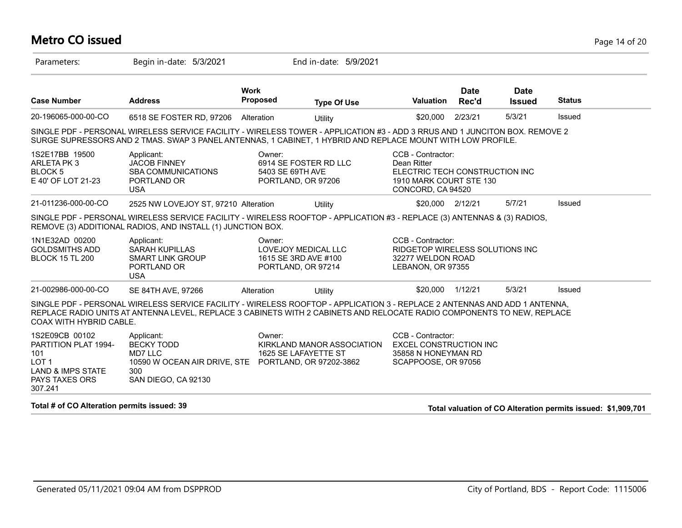#### **Metro CO issued** Page 14 of 20

| Parameters:                                                                                                                           | Begin in-date: 5/3/2021                                                                                                                                                                                                                              |                            | End in-date: 5/9/2021                                                    |                                                                                                                    |                      |                              |               |
|---------------------------------------------------------------------------------------------------------------------------------------|------------------------------------------------------------------------------------------------------------------------------------------------------------------------------------------------------------------------------------------------------|----------------------------|--------------------------------------------------------------------------|--------------------------------------------------------------------------------------------------------------------|----------------------|------------------------------|---------------|
| <b>Case Number</b>                                                                                                                    | <b>Address</b>                                                                                                                                                                                                                                       | <b>Work</b><br>Proposed    | <b>Type Of Use</b>                                                       | <b>Valuation</b>                                                                                                   | <b>Date</b><br>Rec'd | <b>Date</b><br><b>Issued</b> | <b>Status</b> |
| 20-196065-000-00-CO                                                                                                                   | 6518 SE FOSTER RD, 97206                                                                                                                                                                                                                             | Alteration                 | Utility                                                                  | \$20,000                                                                                                           | 2/23/21              | 5/3/21                       | Issued        |
|                                                                                                                                       | SINGLE PDF - PERSONAL WIRELESS SERVICE FACILITY - WIRELESS TOWER - APPLICATION #3 - ADD 3 RRUS AND 1 JUNCITON BOX. REMOVE 2<br>SURGE SUPRESSORS AND 2 TMAS. SWAP 3 PANEL ANTENNAS, 1 CABINET, 1 HYBRID AND REPLACE MOUNT WITH LOW PROFILE.           |                            |                                                                          |                                                                                                                    |                      |                              |               |
| 1S2E17BB 19500<br>ARLETA PK 3<br>BLOCK <sub>5</sub><br>E 40' OF LOT 21-23                                                             | Applicant:<br><b>JACOB FINNEY</b><br><b>SBA COMMUNICATIONS</b><br>PORTLAND OR<br><b>USA</b>                                                                                                                                                          | Owner:<br>5403 SE 69TH AVE | 6914 SE FOSTER RD LLC<br>PORTLAND, OR 97206                              | CCB - Contractor:<br>Dean Ritter<br>ELECTRIC TECH CONSTRUCTION INC<br>1910 MARK COURT STE 130<br>CONCORD, CA 94520 |                      |                              |               |
| 21-011236-000-00-CO                                                                                                                   | 2525 NW LOVEJOY ST, 97210 Alteration                                                                                                                                                                                                                 |                            | <b>Utility</b>                                                           | \$20,000 2/12/21                                                                                                   |                      | 5/7/21                       | Issued        |
|                                                                                                                                       | SINGLE PDF - PERSONAL WIRELESS SERVICE FACILITY - WIRELESS ROOFTOP - APPLICATION #3 - REPLACE (3) ANTENNAS & (3) RADIOS,<br>REMOVE (3) ADDITIONAL RADIOS, AND INSTALL (1) JUNCTION BOX.                                                              |                            |                                                                          |                                                                                                                    |                      |                              |               |
| 1N1E32AD 00200<br><b>GOLDSMITHS ADD</b><br><b>BLOCK 15 TL 200</b>                                                                     | Applicant:<br><b>SARAH KUPILLAS</b><br><b>SMART LINK GROUP</b><br>PORTLAND OR<br><b>USA</b>                                                                                                                                                          | Owner:                     | <b>LOVEJOY MEDICAL LLC</b><br>1615 SE 3RD AVE #100<br>PORTLAND, OR 97214 | CCB - Contractor:<br>RIDGETOP WIRELESS SOLUTIONS INC<br>32277 WELDON ROAD<br>LEBANON, OR 97355                     |                      |                              |               |
| 21-002986-000-00-CO                                                                                                                   | SE 84TH AVE, 97266                                                                                                                                                                                                                                   | Alteration                 | Utility                                                                  | \$20,000                                                                                                           | 1/12/21              | 5/3/21                       | Issued        |
| <b>COAX WITH HYBRID CABLE.</b>                                                                                                        | SINGLE PDF - PERSONAL WIRELESS SERVICE FACILITY - WIRELESS ROOFTOP - APPLICATION 3 - REPLACE 2 ANTENNAS AND ADD 1 ANTENNA,<br>REPLACE RADIO UNITS AT ANTENNA LEVEL, REPLACE 3 CABINETS WITH 2 CABINETS AND RELOCATE RADIO COMPONENTS TO NEW, REPLACE |                            |                                                                          |                                                                                                                    |                      |                              |               |
| 1S2E09CB 00102<br><b>PARTITION PLAT 1994-</b><br>101<br>LOT <sub>1</sub><br><b>LAND &amp; IMPS STATE</b><br>PAYS TAXES ORS<br>307.241 | Applicant:<br><b>BECKY TODD</b><br>MD7 LLC<br>10590 W OCEAN AIR DRIVE, STE PORTLAND, OR 97202-3862<br>300<br>SAN DIEGO, CA 92130                                                                                                                     | Owner:                     | KIRKLAND MANOR ASSOCIATION<br>1625 SE LAFAYETTE ST                       | CCB - Contractor:<br><b>EXCEL CONSTRUCTION INC</b><br>35858 N HONEYMAN RD<br>SCAPPOOSE, OR 97056                   |                      |                              |               |

**Total # of CO Alteration permits issued: 39 Total valuation of CO Alteration permits issued: \$1,909,701**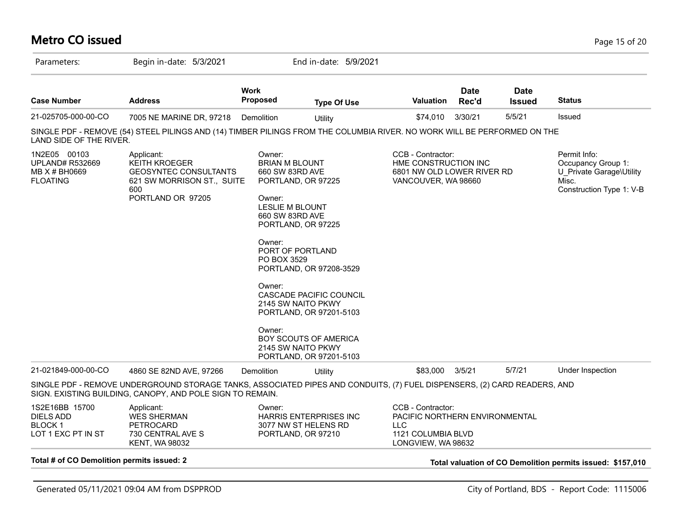#### **Metro CO issued** Page 15 of 20 Parameters: Begin in-date: 5/3/2021 End in-date: 5/9/2021 **Work Case Number Address Proposed Type Of Use Valuation Status Date Rec'd Date Issued** 21-025705-000-00-CO 7005 NE MARINE DR, 97218 Demolition Utility \$74,010 3/30/21 5/5/21 Issued SINGLE PDF - REMOVE (54) STEEL PILINGS AND (14) TIMBER PILINGS FROM THE COLUMBIA RIVER. NO WORK WILL BE PERFORMED ON THE LAND SIDE OF THE RIVER. 1N2E05 00103 UPLAND# R532669 MB X # BH0669 FLOATING Permit Info: Occupancy Group 1: U\_Private Garage\Utility Misc. Construction Type 1: V-B CCB - Contractor: HME CONSTRUCTION INC 6801 NW OLD LOWER RIVER RD VANCOUVER, WA 98660 Owner: BRIAN M BLOUNT 660 SW 83RD AVE PORTLAND, OR 97225 Owner: LESLIE M BLOUNT 660 SW 83RD AVE PORTLAND, OR 97225 Owner: PORT OF PORTLAND PO BOX 3529 PORTLAND, OR 97208-3529 Owner: CASCADE PACIFIC COUNCIL 2145 SW NAITO PKWY PORTLAND, OR 97201-5103 Owner: BOY SCOUTS OF AMERICA 2145 SW NAITO PKWY PORTLAND, OR 97201-5103 Applicant: KEITH KROEGER GEOSYNTEC CONSULTANTS 621 SW MORRISON ST., SUITE 600 PORTLAND OR 97205 21-021849-000-00-CO 4860 SE 82ND AVE, 97266 Demolition Utility \$83,000 3/5/21 5/7/21 Under Inspection SINGLE PDF - REMOVE UNDERGROUND STORAGE TANKS, ASSOCIATED PIPES AND CONDUITS, (7) FUEL DISPENSERS, (2) CARD READERS, AND SIGN. EXISTING BUILDING, CANOPY, AND POLE SIGN TO REMAIN. 1S2E16BB 15700 DIELS ADD BLOCK 1 LOT 1 EXC PT IN ST CCB - Contractor: PACIFIC NORTHERN ENVIRONMENTAL LLC 1121 COLUMBIA BLVD LONGVIEW, WA 98632 Owner: HARRIS ENTERPRISES INC 3077 NW ST HELENS RD PORTLAND, OR 97210 Applicant: WES SHERMAN PETROCARD 730 CENTRAL AVE S KENT, WA 98032 **Total # of CO Demolition permits issued: 2 Total valuation of CO Demolition permits issued: \$157,010**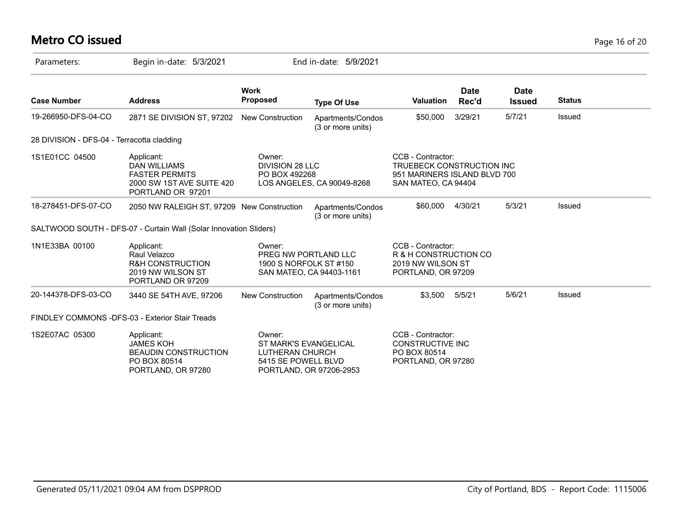# **Metro CO issued** Page 16 of 20

| Parameters:                                | Begin in-date: 5/3/2021                                                                                      |                                                                                      | End in-date: 5/9/2021                  |                                                                                                       |               |                              |               |
|--------------------------------------------|--------------------------------------------------------------------------------------------------------------|--------------------------------------------------------------------------------------|----------------------------------------|-------------------------------------------------------------------------------------------------------|---------------|------------------------------|---------------|
| <b>Case Number</b>                         | <b>Address</b>                                                                                               | <b>Work</b><br><b>Proposed</b>                                                       | <b>Type Of Use</b>                     | <b>Valuation</b>                                                                                      | Date<br>Rec'd | <b>Date</b><br><b>Issued</b> | <b>Status</b> |
| 19-266950-DFS-04-CO                        | 2871 SE DIVISION ST, 97202 New Construction                                                                  |                                                                                      | Apartments/Condos<br>(3 or more units) | \$50,000                                                                                              | 3/29/21       | 5/7/21                       | Issued        |
| 28 DIVISION - DFS-04 - Terracotta cladding |                                                                                                              |                                                                                      |                                        |                                                                                                       |               |                              |               |
| 1S1E01CC 04500                             | Applicant:<br><b>DAN WILLIAMS</b><br><b>FASTER PERMITS</b><br>2000 SW 1ST AVE SUITE 420<br>PORTLAND OR 97201 | Owner:<br><b>DIVISION 28 LLC</b><br>PO BOX 492268<br>LOS ANGELES, CA 90049-8268      |                                        | CCB - Contractor:<br>TRUEBECK CONSTRUCTION INC<br>951 MARINERS ISLAND BLVD 700<br>SAN MATEO, CA 94404 |               |                              |               |
| 18-278451-DFS-07-CO                        | 2050 NW RALEIGH ST, 97209 New Construction                                                                   |                                                                                      | Apartments/Condos<br>(3 or more units) | \$60,000                                                                                              | 4/30/21       | 5/3/21                       | Issued        |
|                                            | SALTWOOD SOUTH - DFS-07 - Curtain Wall (Solar Innovation Sliders)                                            |                                                                                      |                                        |                                                                                                       |               |                              |               |
| 1N1E33BA 00100                             | Applicant:<br>Raul Velazco<br><b>R&amp;H CONSTRUCTION</b><br>2019 NW WILSON ST<br>PORTLAND OR 97209          | Owner:<br>PREG NW PORTLAND LLC<br>1900 S NORFOLK ST #150<br>SAN MATEO, CA 94403-1161 |                                        | CCB - Contractor:<br>R & H CONSTRUCTION CO<br>2019 NW WILSON ST<br>PORTLAND, OR 97209                 |               |                              |               |
| 20-144378-DFS-03-CO                        | 3440 SE 54TH AVE, 97206                                                                                      | <b>New Construction</b>                                                              | Apartments/Condos<br>(3 or more units) | \$3,500                                                                                               | 5/5/21        | 5/6/21                       | Issued        |
|                                            | FINDLEY COMMONS -DFS-03 - Exterior Stair Treads                                                              |                                                                                      |                                        |                                                                                                       |               |                              |               |
| 1S2E07AC 05300                             | Applicant:<br><b>JAMES KOH</b><br><b>BEAUDIN CONSTRUCTION</b><br>PO BOX 80514<br>PORTLAND, OR 97280          | Owner:<br><b>ST MARK'S EVANGELICAL</b><br>LUTHERAN CHURCH<br>5415 SE POWELL BLVD     | PORTLAND, OR 97206-2953                | CCB - Contractor:<br><b>CONSTRUCTIVE INC</b><br>PO BOX 80514<br>PORTLAND, OR 97280                    |               |                              |               |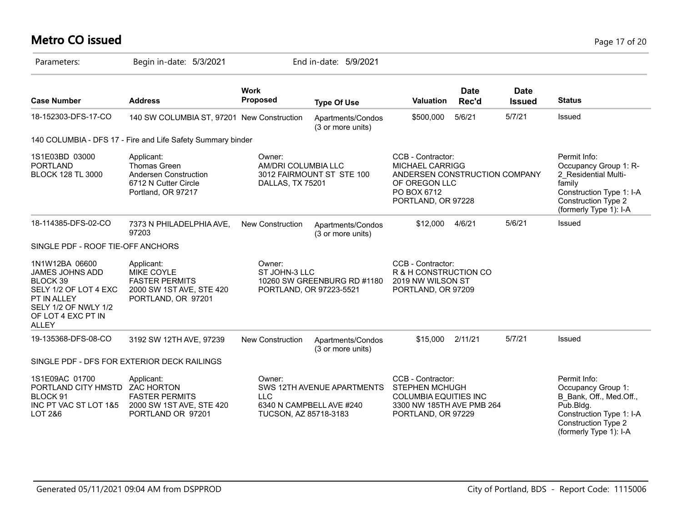# **Metro CO issued** Page 17 of 20

| Parameters:                                                                                                                                                | Begin in-date: 5/3/2021                                                                                    |                                                                                   | End in-date: 5/9/2021                                  |                                                                                                                                    |                      |                              |                                                                                                                                                                |
|------------------------------------------------------------------------------------------------------------------------------------------------------------|------------------------------------------------------------------------------------------------------------|-----------------------------------------------------------------------------------|--------------------------------------------------------|------------------------------------------------------------------------------------------------------------------------------------|----------------------|------------------------------|----------------------------------------------------------------------------------------------------------------------------------------------------------------|
| <b>Case Number</b>                                                                                                                                         | <b>Address</b>                                                                                             | <b>Work</b><br><b>Proposed</b>                                                    | <b>Type Of Use</b>                                     | <b>Valuation</b>                                                                                                                   | <b>Date</b><br>Rec'd | <b>Date</b><br><b>Issued</b> | <b>Status</b>                                                                                                                                                  |
| 18-152303-DFS-17-CO                                                                                                                                        | 140 SW COLUMBIA ST, 97201 New Construction                                                                 |                                                                                   | Apartments/Condos<br>(3 or more units)                 | \$500,000                                                                                                                          | 5/6/21               | 5/7/21                       | Issued                                                                                                                                                         |
|                                                                                                                                                            | 140 COLUMBIA - DFS 17 - Fire and Life Safety Summary binder                                                |                                                                                   |                                                        |                                                                                                                                    |                      |                              |                                                                                                                                                                |
| 1S1E03BD 03000<br><b>PORTLAND</b><br><b>BLOCK 128 TL 3000</b>                                                                                              | Applicant:<br>Thomas Green<br><b>Andersen Construction</b><br>6712 N Cutter Circle<br>Portland, OR 97217   | Owner:<br>AM/DRI COLUMBIA LLC<br>DALLAS, TX 75201                                 | 3012 FAIRMOUNT ST STE 100                              | CCB - Contractor:<br><b>MICHAEL CARRIGG</b><br>ANDERSEN CONSTRUCTION COMPANY<br>OF OREGON LLC<br>PO BOX 6712<br>PORTLAND, OR 97228 |                      |                              | Permit Info:<br>Occupancy Group 1: R-<br>2 Residential Multi-<br>family<br>Construction Type 1: I-A<br><b>Construction Type 2</b><br>(formerly Type 1): I-A    |
| 18-114385-DFS-02-CO                                                                                                                                        | 7373 N PHILADELPHIA AVE,<br>97203                                                                          | <b>New Construction</b>                                                           | Apartments/Condos<br>(3 or more units)                 | \$12,000                                                                                                                           | 4/6/21               | 5/6/21                       | Issued                                                                                                                                                         |
| SINGLE PDF - ROOF TIE-OFF ANCHORS                                                                                                                          |                                                                                                            |                                                                                   |                                                        |                                                                                                                                    |                      |                              |                                                                                                                                                                |
| 1N1W12BA 06600<br><b>JAMES JOHNS ADD</b><br>BLOCK 39<br>SELY 1/2 OF LOT 4 EXC<br>PT IN ALLEY<br>SELY 1/2 OF NWLY 1/2<br>OF LOT 4 EXC PT IN<br><b>ALLEY</b> | Applicant:<br><b>MIKE COYLE</b><br><b>FASTER PERMITS</b><br>2000 SW 1ST AVE, STE 420<br>PORTLAND, OR 97201 | Owner:<br>ST JOHN-3 LLC<br>10260 SW GREENBURG RD #1180<br>PORTLAND, OR 97223-5521 |                                                        | CCB - Contractor:<br>R & H CONSTRUCTION CO<br>2019 NW WILSON ST<br>PORTLAND, OR 97209                                              |                      |                              |                                                                                                                                                                |
| 19-135368-DFS-08-CO                                                                                                                                        | 3192 SW 12TH AVE, 97239                                                                                    | New Construction                                                                  | Apartments/Condos<br>(3 or more units)                 | \$15,000                                                                                                                           | 2/11/21              | 5/7/21                       | Issued                                                                                                                                                         |
|                                                                                                                                                            | SINGLE PDF - DFS FOR EXTERIOR DECK RAILINGS                                                                |                                                                                   |                                                        |                                                                                                                                    |                      |                              |                                                                                                                                                                |
| 1S1E09AC 01700<br>PORTLAND CITY HMSTD<br>BLOCK 91<br>INC PT VAC ST LOT 1&5<br><b>LOT 2&amp;6</b>                                                           | Applicant:<br><b>ZAC HORTON</b><br><b>FASTER PERMITS</b><br>2000 SW 1ST AVE, STE 420<br>PORTLAND OR 97201  | Owner:<br><b>LLC</b><br>TUCSON, AZ 85718-3183                                     | SWS 12TH AVENUE APARTMENTS<br>6340 N CAMPBELL AVE #240 | CCB - Contractor:<br>STEPHEN MCHUGH<br><b>COLUMBIA EQUITIES INC</b><br>3300 NW 185TH AVE PMB 264<br>PORTLAND, OR 97229             |                      |                              | Permit Info:<br>Occupancy Group 1:<br>B Bank, Off., Med.Off.,<br>Pub.Bldg.<br>Construction Type 1: I-A<br><b>Construction Type 2</b><br>(formerly Type 1): I-A |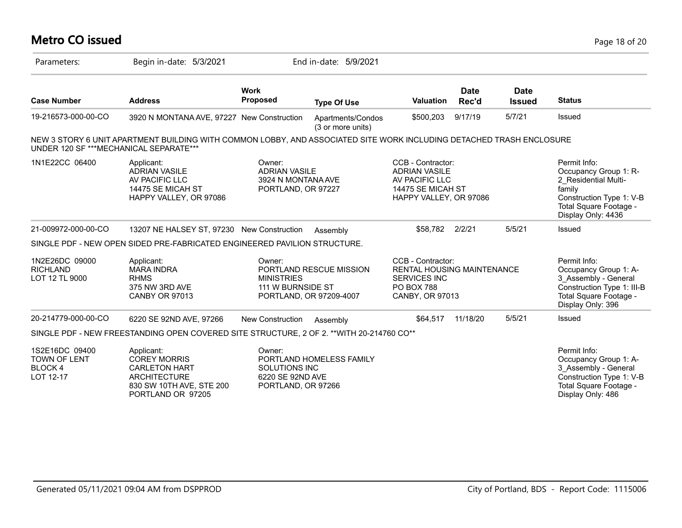#### **Metro CO issued** Page 18 of 20

| Parameters:                                                   | Begin in-date: 5/3/2021                                                                                                           |                                                                            | End in-date: 5/9/2021                              |                                                                                                                |                      |                              |                                                                                                                                                     |
|---------------------------------------------------------------|-----------------------------------------------------------------------------------------------------------------------------------|----------------------------------------------------------------------------|----------------------------------------------------|----------------------------------------------------------------------------------------------------------------|----------------------|------------------------------|-----------------------------------------------------------------------------------------------------------------------------------------------------|
| <b>Case Number</b>                                            | <b>Address</b>                                                                                                                    | <b>Work</b><br><b>Proposed</b>                                             | <b>Type Of Use</b>                                 | <b>Valuation</b>                                                                                               | <b>Date</b><br>Rec'd | <b>Date</b><br><b>Issued</b> | <b>Status</b>                                                                                                                                       |
| 19-216573-000-00-CO                                           | 3920 N MONTANA AVE, 97227 New Construction                                                                                        |                                                                            | Apartments/Condos<br>(3 or more units)             | \$500,203                                                                                                      | 9/17/19              | 5/7/21                       | Issued                                                                                                                                              |
| UNDER 120 SF ***MECHANICAL SEPARATE***                        | NEW 3 STORY 6 UNIT APARTMENT BUILDING WITH COMMON LOBBY, AND ASSOCIATED SITE WORK INCLUDING DETACHED TRASH ENCLOSURE              |                                                                            |                                                    |                                                                                                                |                      |                              |                                                                                                                                                     |
| 1N1E22CC 06400                                                | Applicant:<br><b>ADRIAN VASILE</b><br>AV PACIFIC LLC<br>14475 SE MICAH ST<br>HAPPY VALLEY, OR 97086                               | Owner:<br><b>ADRIAN VASILE</b><br>3924 N MONTANA AVE<br>PORTLAND, OR 97227 |                                                    | CCB - Contractor:<br><b>ADRIAN VASILE</b><br>AV PACIFIC LLC<br>14475 SE MICAH ST<br>HAPPY VALLEY, OR 97086     |                      |                              | Permit Info:<br>Occupancy Group 1: R-<br>2 Residential Multi-<br>family<br>Construction Type 1: V-B<br>Total Square Footage -<br>Display Only: 4436 |
| 21-009972-000-00-CO                                           | 13207 NE HALSEY ST, 97230 New Construction                                                                                        |                                                                            | Assembly                                           | \$58,782 2/2/21                                                                                                |                      | 5/5/21                       | Issued                                                                                                                                              |
|                                                               | SINGLE PDF - NEW OPEN SIDED PRE-FABRICATED ENGINEERED PAVILION STRUCTURE.                                                         |                                                                            |                                                    |                                                                                                                |                      |                              |                                                                                                                                                     |
| 1N2E26DC 09000<br><b>RICHLAND</b><br>LOT 12 TL 9000           | Applicant:<br><b>MARA INDRA</b><br><b>RHMS</b><br>375 NW 3RD AVE<br><b>CANBY OR 97013</b>                                         | Owner:<br><b>MINISTRIES</b><br>111 W BURNSIDE ST                           | PORTLAND RESCUE MISSION<br>PORTLAND, OR 97209-4007 | CCB - Contractor:<br><b>RENTAL HOUSING MAINTENANCE</b><br>SERVICES INC<br><b>PO BOX 788</b><br>CANBY, OR 97013 |                      |                              | Permit Info:<br>Occupancy Group 1: A-<br>3 Assembly - General<br>Construction Type 1: III-B<br>Total Square Footage -<br>Display Only: 396          |
| 20-214779-000-00-CO                                           | 6220 SE 92ND AVE, 97266                                                                                                           | <b>New Construction</b>                                                    | Assembly                                           | \$64,517                                                                                                       | 11/18/20             | 5/5/21                       | Issued                                                                                                                                              |
|                                                               | SINGLE PDF - NEW FREESTANDING OPEN COVERED SITE STRUCTURE, 2 OF 2. ** WITH 20-214760 CO**                                         |                                                                            |                                                    |                                                                                                                |                      |                              |                                                                                                                                                     |
| 1S2E16DC 09400<br><b>TOWN OF LENT</b><br>BLOCK 4<br>LOT 12-17 | Applicant:<br><b>COREY MORRIS</b><br><b>CARLETON HART</b><br><b>ARCHITECTURE</b><br>830 SW 10TH AVE, STE 200<br>PORTLAND OR 97205 | Owner:<br>SOLUTIONS INC<br>6220 SE 92ND AVE<br>PORTLAND, OR 97266          | PORTLAND HOMELESS FAMILY                           |                                                                                                                |                      |                              | Permit Info:<br>Occupancy Group 1: A-<br>3 Assembly - General<br>Construction Type 1: V-B<br>Total Square Footage -<br>Display Only: 486            |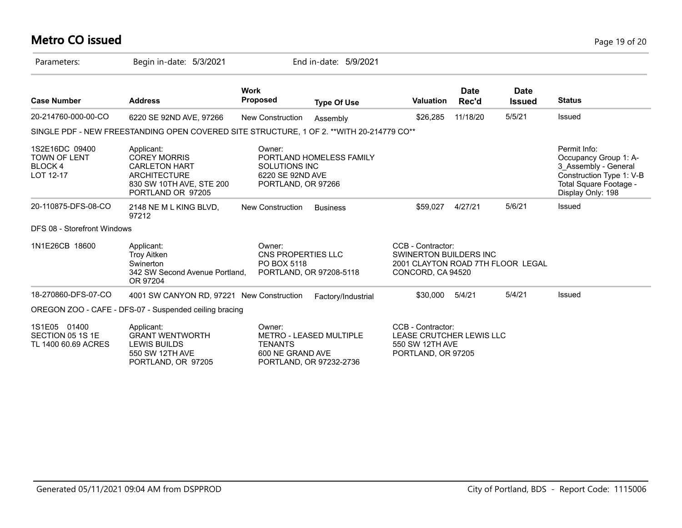# **Metro CO issued** Page 19 of 20

| Parameters:                                                         | Begin in-date: 5/3/2021                                                                                                           |                                                                          | End in-date: 5/9/2021                              |                                                                                                       |                      |                              |                                                                                                                                          |
|---------------------------------------------------------------------|-----------------------------------------------------------------------------------------------------------------------------------|--------------------------------------------------------------------------|----------------------------------------------------|-------------------------------------------------------------------------------------------------------|----------------------|------------------------------|------------------------------------------------------------------------------------------------------------------------------------------|
| <b>Case Number</b>                                                  | <b>Address</b>                                                                                                                    | <b>Work</b><br><b>Proposed</b>                                           | <b>Type Of Use</b>                                 | Valuation                                                                                             | <b>Date</b><br>Rec'd | <b>Date</b><br><b>Issued</b> | <b>Status</b>                                                                                                                            |
| 20-214760-000-00-CO                                                 | 6220 SE 92ND AVE, 97266                                                                                                           | <b>New Construction</b>                                                  | Assembly                                           | \$26,285                                                                                              | 11/18/20             | 5/5/21                       | <b>Issued</b>                                                                                                                            |
|                                                                     | SINGLE PDF - NEW FREESTANDING OPEN COVERED SITE STRUCTURE, 1 OF 2. ** WITH 20-214779 CO**                                         |                                                                          |                                                    |                                                                                                       |                      |                              |                                                                                                                                          |
| 1S2E16DC 09400<br><b>TOWN OF LENT</b><br><b>BLOCK4</b><br>LOT 12-17 | Applicant:<br><b>COREY MORRIS</b><br><b>CARLETON HART</b><br><b>ARCHITECTURE</b><br>830 SW 10TH AVE, STE 200<br>PORTLAND OR 97205 | Owner:<br><b>SOLUTIONS INC</b><br>6220 SE 92ND AVE<br>PORTLAND, OR 97266 | PORTLAND HOMELESS FAMILY                           |                                                                                                       |                      |                              | Permit Info:<br>Occupancy Group 1: A-<br>3_Assembly - General<br>Construction Type 1: V-B<br>Total Square Footage -<br>Display Only: 198 |
| 20-110875-DFS-08-CO                                                 | 2148 NE M L KING BLVD,<br>97212                                                                                                   | <b>New Construction</b>                                                  | <b>Business</b>                                    | \$59.027                                                                                              | 4/27/21              | 5/6/21                       | Issued                                                                                                                                   |
| DFS 08 - Storefront Windows                                         |                                                                                                                                   |                                                                          |                                                    |                                                                                                       |                      |                              |                                                                                                                                          |
| 1N1E26CB 18600                                                      | Applicant:<br><b>Troy Aitken</b><br>Swinerton<br>342 SW Second Avenue Portland,<br>OR 97204                                       | Owner:<br>CNS PROPERTIES LLC<br>PO BOX 5118                              | PORTLAND, OR 97208-5118                            | CCB - Contractor:<br>SWINERTON BUILDERS INC<br>2001 CLAYTON ROAD 7TH FLOOR LEGAL<br>CONCORD, CA 94520 |                      |                              |                                                                                                                                          |
| 18-270860-DFS-07-CO                                                 | 4001 SW CANYON RD, 97221 New Construction                                                                                         |                                                                          | Factory/Industrial                                 | \$30,000                                                                                              | 5/4/21               | 5/4/21                       | Issued                                                                                                                                   |
|                                                                     | OREGON ZOO - CAFE - DFS-07 - Suspended ceiling bracing                                                                            |                                                                          |                                                    |                                                                                                       |                      |                              |                                                                                                                                          |
| 1S1E05 01400<br>SECTION 05 1S 1E<br>TL 1400 60.69 ACRES             | Applicant:<br><b>GRANT WENTWORTH</b><br><b>LEWIS BUILDS</b><br>550 SW 12TH AVE<br>PORTLAND, OR 97205                              | Owner:<br><b>TENANTS</b><br>600 NE GRAND AVE                             | METRO - LEASED MULTIPLE<br>PORTLAND, OR 97232-2736 | CCB - Contractor:<br>LEASE CRUTCHER LEWIS LLC<br>550 SW 12TH AVE<br>PORTLAND, OR 97205                |                      |                              |                                                                                                                                          |